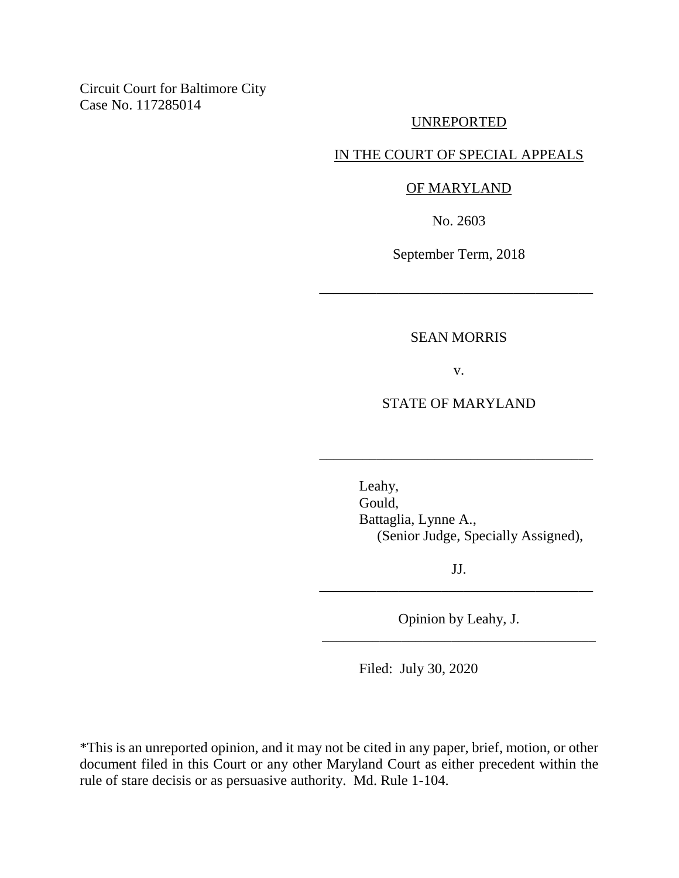Circuit Court for Baltimore City Case No. 117285014

#### UNREPORTED

## IN THE COURT OF SPECIAL APPEALS

#### OF MARYLAND

No. 2603

September Term, 2018

\_\_\_\_\_\_\_\_\_\_\_\_\_\_\_\_\_\_\_\_\_\_\_\_\_\_\_\_\_\_\_\_\_\_\_\_\_\_

### SEAN MORRIS

v.

## STATE OF MARYLAND

\_\_\_\_\_\_\_\_\_\_\_\_\_\_\_\_\_\_\_\_\_\_\_\_\_\_\_\_\_\_\_\_\_\_\_\_\_\_

Leahy, Gould, Battaglia, Lynne A., (Senior Judge, Specially Assigned),

JJ. \_\_\_\_\_\_\_\_\_\_\_\_\_\_\_\_\_\_\_\_\_\_\_\_\_\_\_\_\_\_\_\_\_\_\_\_\_\_

Opinion by Leahy, J. \_\_\_\_\_\_\_\_\_\_\_\_\_\_\_\_\_\_\_\_\_\_\_\_\_\_\_\_\_\_\_\_\_\_\_\_\_\_

Filed: July 30, 2020

\*This is an unreported opinion, and it may not be cited in any paper, brief, motion, or other document filed in this Court or any other Maryland Court as either precedent within the rule of stare decisis or as persuasive authority. Md. Rule 1-104.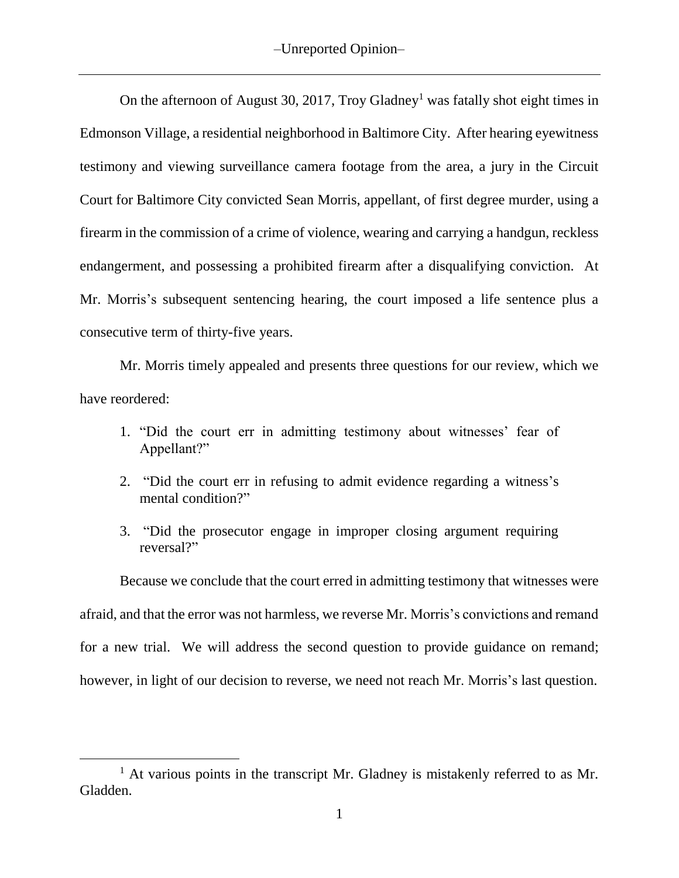On the afternoon of August 30, 2017, Troy Gladney<sup>1</sup> was fatally shot eight times in Edmonson Village, a residential neighborhood in Baltimore City. After hearing eyewitness testimony and viewing surveillance camera footage from the area, a jury in the Circuit Court for Baltimore City convicted Sean Morris, appellant, of first degree murder, using a firearm in the commission of a crime of violence, wearing and carrying a handgun, reckless endangerment, and possessing a prohibited firearm after a disqualifying conviction. At Mr. Morris's subsequent sentencing hearing, the court imposed a life sentence plus a consecutive term of thirty-five years.

Mr. Morris timely appealed and presents three questions for our review, which we have reordered:

- 1. "Did the court err in admitting testimony about witnesses' fear of Appellant?"
- 2. "Did the court err in refusing to admit evidence regarding a witness's mental condition?"
- 3. "Did the prosecutor engage in improper closing argument requiring reversal?"

Because we conclude that the court erred in admitting testimony that witnesses were afraid, and that the error was not harmless, we reverse Mr. Morris's convictions and remand for a new trial. We will address the second question to provide guidance on remand; however, in light of our decision to reverse, we need not reach Mr. Morris's last question.

 $\overline{a}$ 

 $1$  At various points in the transcript Mr. Gladney is mistakenly referred to as Mr. Gladden.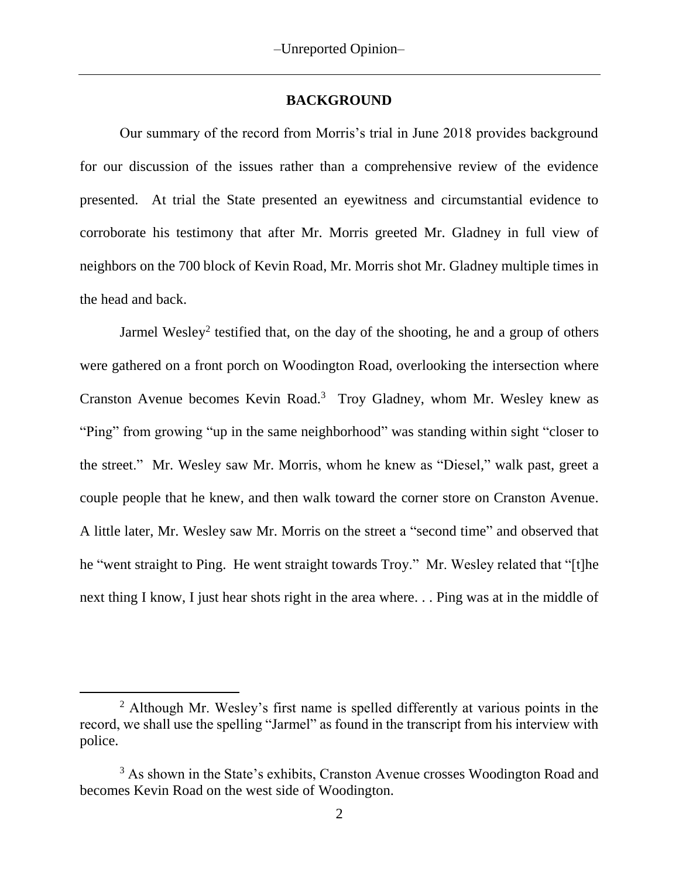### **BACKGROUND**

Our summary of the record from Morris's trial in June 2018 provides background for our discussion of the issues rather than a comprehensive review of the evidence presented. At trial the State presented an eyewitness and circumstantial evidence to corroborate his testimony that after Mr. Morris greeted Mr. Gladney in full view of neighbors on the 700 block of Kevin Road, Mr. Morris shot Mr. Gladney multiple times in the head and back.

Jarmel Wesley<sup>2</sup> testified that, on the day of the shooting, he and a group of others were gathered on a front porch on Woodington Road, overlooking the intersection where Cranston Avenue becomes Kevin Road.<sup>3</sup> Troy Gladney, whom Mr. Wesley knew as "Ping" from growing "up in the same neighborhood" was standing within sight "closer to the street." Mr. Wesley saw Mr. Morris, whom he knew as "Diesel," walk past, greet a couple people that he knew, and then walk toward the corner store on Cranston Avenue. A little later, Mr. Wesley saw Mr. Morris on the street a "second time" and observed that he "went straight to Ping. He went straight towards Troy." Mr. Wesley related that "[t]he next thing I know, I just hear shots right in the area where. . . Ping was at in the middle of

 $\overline{a}$ 

<sup>&</sup>lt;sup>2</sup> Although Mr. Wesley's first name is spelled differently at various points in the record, we shall use the spelling "Jarmel" as found in the transcript from his interview with police.

<sup>&</sup>lt;sup>3</sup> As shown in the State's exhibits, Cranston Avenue crosses Woodington Road and becomes Kevin Road on the west side of Woodington.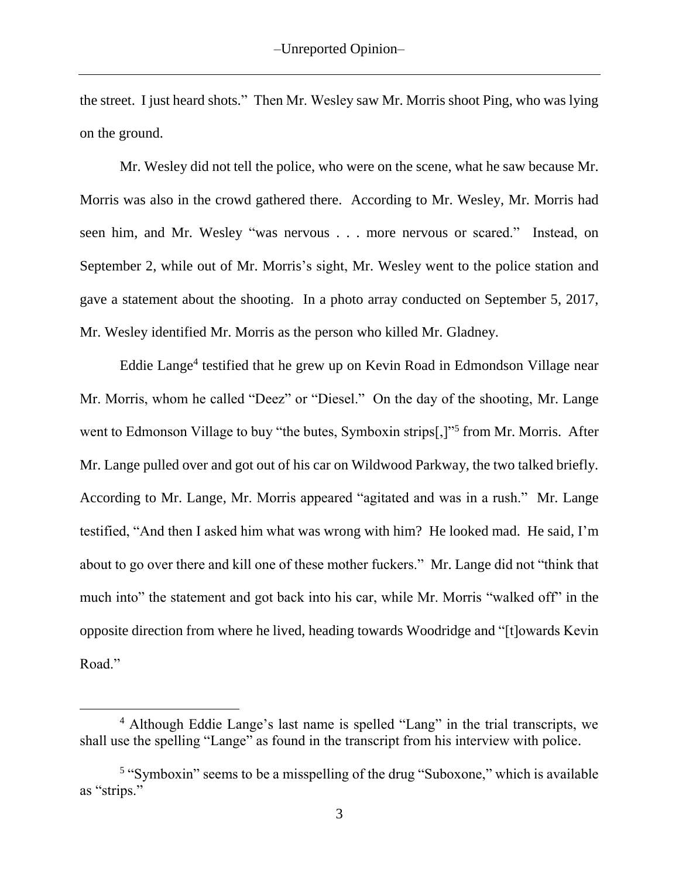the street. I just heard shots." Then Mr. Wesley saw Mr. Morris shoot Ping, who was lying on the ground.

Mr. Wesley did not tell the police, who were on the scene, what he saw because Mr. Morris was also in the crowd gathered there. According to Mr. Wesley, Mr. Morris had seen him, and Mr. Wesley "was nervous . . . more nervous or scared." Instead, on September 2, while out of Mr. Morris's sight, Mr. Wesley went to the police station and gave a statement about the shooting. In a photo array conducted on September 5, 2017, Mr. Wesley identified Mr. Morris as the person who killed Mr. Gladney.

Eddie Lange<sup>4</sup> testified that he grew up on Kevin Road in Edmondson Village near Mr. Morris, whom he called "Deez" or "Diesel." On the day of the shooting, Mr. Lange went to Edmonson Village to buy "the butes, Symboxin strips[,]"<sup>5</sup> from Mr. Morris. After Mr. Lange pulled over and got out of his car on Wildwood Parkway, the two talked briefly. According to Mr. Lange, Mr. Morris appeared "agitated and was in a rush." Mr. Lange testified, "And then I asked him what was wrong with him? He looked mad. He said, I'm about to go over there and kill one of these mother fuckers." Mr. Lange did not "think that much into" the statement and got back into his car, while Mr. Morris "walked off" in the opposite direction from where he lived, heading towards Woodridge and "[t]owards Kevin Road."

<sup>&</sup>lt;sup>4</sup> Although Eddie Lange's last name is spelled "Lang" in the trial transcripts, we shall use the spelling "Lange" as found in the transcript from his interview with police.

<sup>&</sup>lt;sup>5</sup> "Symboxin" seems to be a misspelling of the drug "Suboxone," which is available as "strips."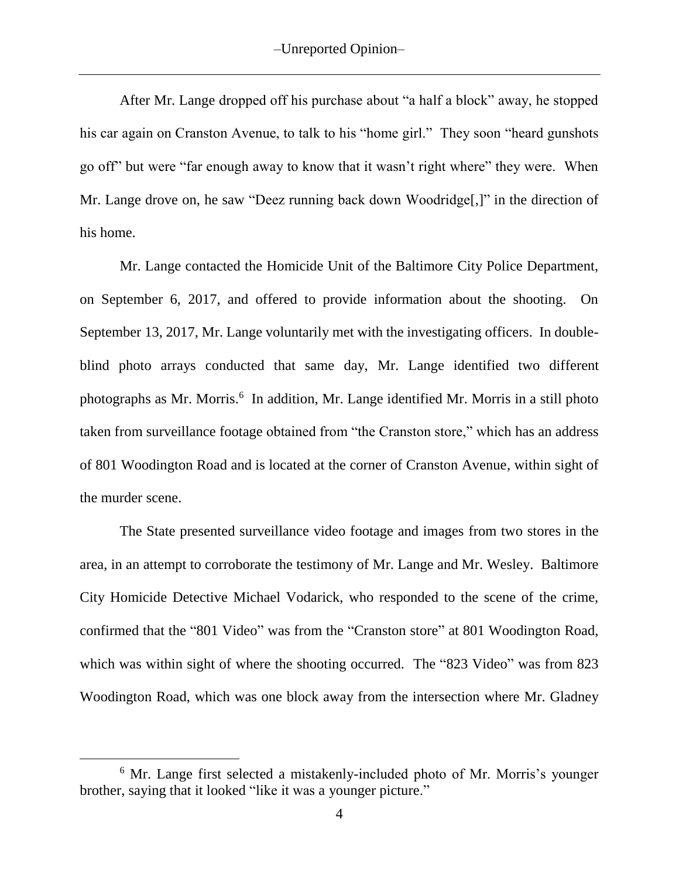After Mr. Lange dropped off his purchase about "a half a block" away, he stopped his car again on Cranston Avenue, to talk to his "home girl." They soon "heard gunshots go off" but were "far enough away to know that it wasn't right where" they were. When Mr. Lange drove on, he saw "Deez running back down Woodridge[,]" in the direction of his home.

Mr. Lange contacted the Homicide Unit of the Baltimore City Police Department, on September 6, 2017, and offered to provide information about the shooting. On September 13, 2017, Mr. Lange voluntarily met with the investigating officers. In doubleblind photo arrays conducted that same day, Mr. Lange identified two different photographs as Mr. Morris.<sup>6</sup> In addition, Mr. Lange identified Mr. Morris in a still photo taken from surveillance footage obtained from "the Cranston store," which has an address of 801 Woodington Road and is located at the corner of Cranston Avenue, within sight of the murder scene.

The State presented surveillance video footage and images from two stores in the area, in an attempt to corroborate the testimony of Mr. Lange and Mr. Wesley. Baltimore City Homicide Detective Michael Vodarick, who responded to the scene of the crime, confirmed that the "801 Video" was from the "Cranston store" at 801 Woodington Road, which was within sight of where the shooting occurred. The "823 Video" was from 823 Woodington Road, which was one block away from the intersection where Mr. Gladney

 $\overline{a}$ 

<sup>&</sup>lt;sup>6</sup> Mr. Lange first selected a mistakenly-included photo of Mr. Morris's younger brother, saying that it looked "like it was a younger picture."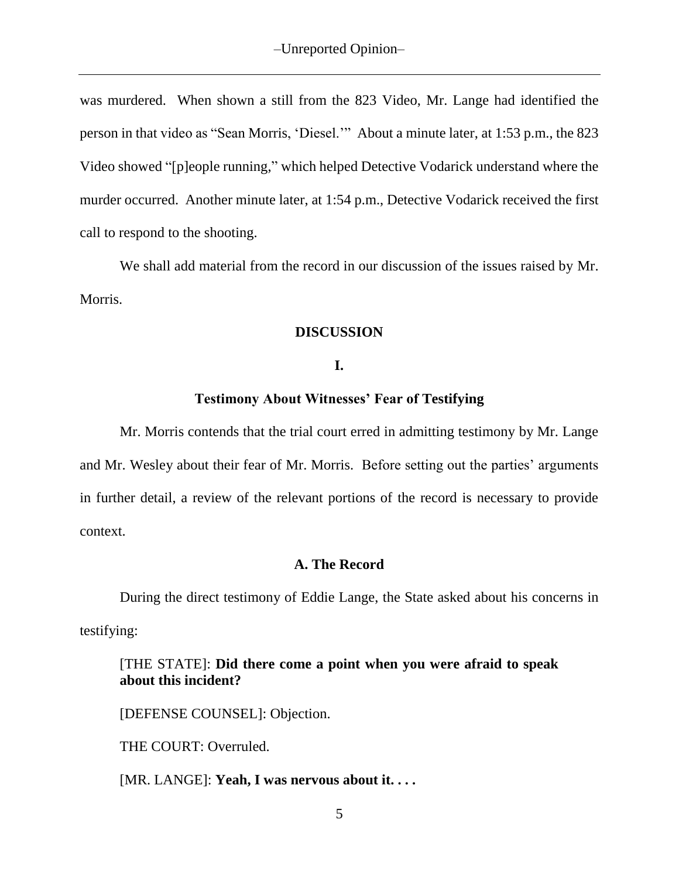was murdered. When shown a still from the 823 Video, Mr. Lange had identified the person in that video as "Sean Morris, 'Diesel.'" About a minute later, at 1:53 p.m., the 823 Video showed "[p]eople running," which helped Detective Vodarick understand where the murder occurred. Another minute later, at 1:54 p.m., Detective Vodarick received the first call to respond to the shooting.

We shall add material from the record in our discussion of the issues raised by Mr. Morris.

## **DISCUSSION**

### **I.**

### **Testimony About Witnesses' Fear of Testifying**

Mr. Morris contends that the trial court erred in admitting testimony by Mr. Lange and Mr. Wesley about their fear of Mr. Morris. Before setting out the parties' arguments in further detail, a review of the relevant portions of the record is necessary to provide context.

### **A. The Record**

During the direct testimony of Eddie Lange, the State asked about his concerns in testifying:

## [THE STATE]: **Did there come a point when you were afraid to speak about this incident?**

[DEFENSE COUNSEL]: Objection.

THE COURT: Overruled.

[MR. LANGE]: **Yeah, I was nervous about it. . . .**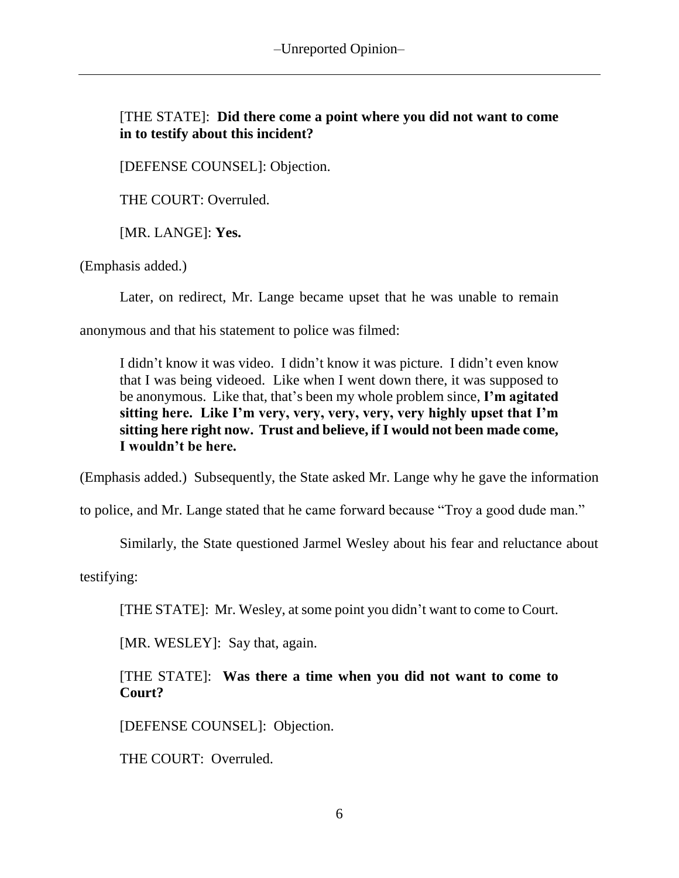## [THE STATE]: **Did there come a point where you did not want to come in to testify about this incident?**

[DEFENSE COUNSEL]: Objection.

THE COURT: Overruled.

[MR. LANGE]: **Yes.**

(Emphasis added.)

Later, on redirect, Mr. Lange became upset that he was unable to remain

anonymous and that his statement to police was filmed:

I didn't know it was video. I didn't know it was picture. I didn't even know that I was being videoed. Like when I went down there, it was supposed to be anonymous. Like that, that's been my whole problem since, **I'm agitated sitting here. Like I'm very, very, very, very, very highly upset that I'm sitting here right now. Trust and believe, if I would not been made come, I wouldn't be here.**

(Emphasis added.) Subsequently, the State asked Mr. Lange why he gave the information

to police, and Mr. Lange stated that he came forward because "Troy a good dude man."

Similarly, the State questioned Jarmel Wesley about his fear and reluctance about

testifying:

[THE STATE]: Mr. Wesley, at some point you didn't want to come to Court.

[MR. WESLEY]: Say that, again.

[THE STATE]: **Was there a time when you did not want to come to Court?**

[DEFENSE COUNSEL]: Objection.

THE COURT: Overruled.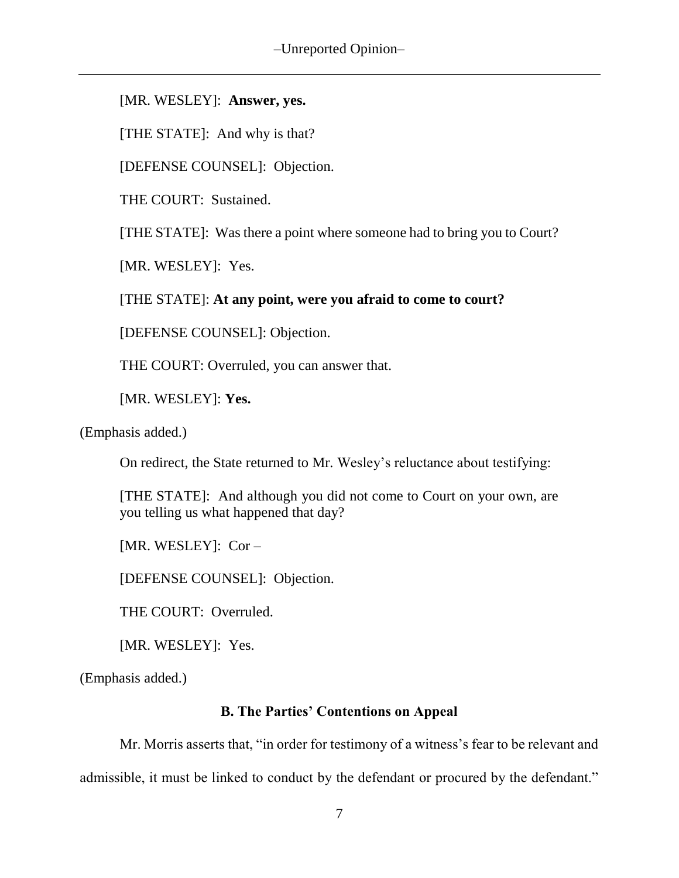[MR. WESLEY]: **Answer, yes.**

[THE STATE]: And why is that?

[DEFENSE COUNSEL]: Objection.

THE COURT: Sustained.

[THE STATE]: Was there a point where someone had to bring you to Court?

[MR. WESLEY]:Yes.

[THE STATE]: **At any point, were you afraid to come to court?**

[DEFENSE COUNSEL]: Objection.

THE COURT: Overruled, you can answer that.

[MR. WESLEY]: **Yes.**

(Emphasis added.)

On redirect, the State returned to Mr. Wesley's reluctance about testifying:

[THE STATE]: And although you did not come to Court on your own, are you telling us what happened that day?

[MR. WESLEY]: Cor –

[DEFENSE COUNSEL]: Objection.

THE COURT: Overruled.

[MR. WESLEY]: Yes.

(Emphasis added.)

### **B. The Parties' Contentions on Appeal**

Mr. Morris asserts that, "in order for testimony of a witness's fear to be relevant and admissible, it must be linked to conduct by the defendant or procured by the defendant."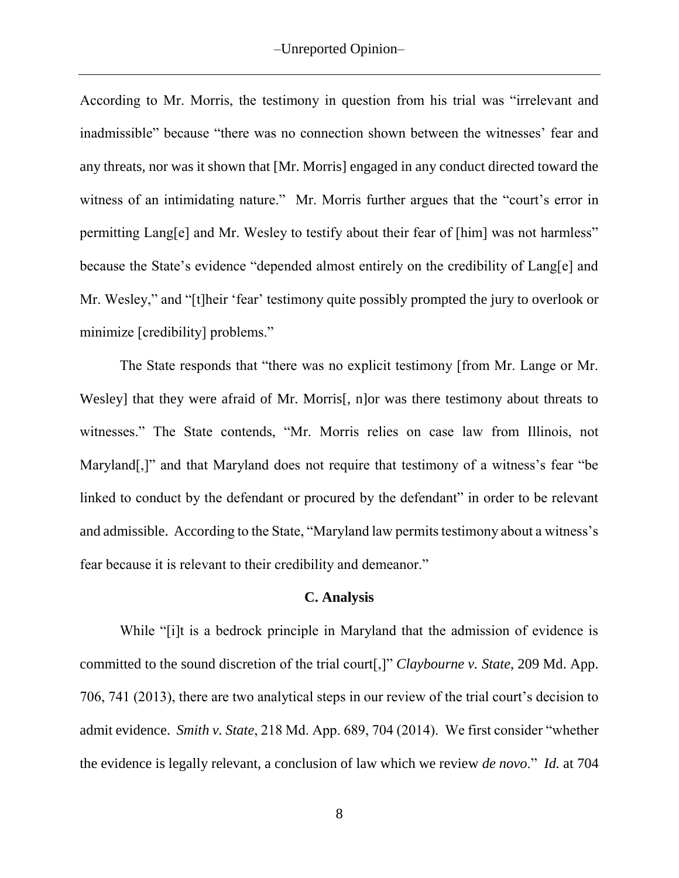According to Mr. Morris, the testimony in question from his trial was "irrelevant and inadmissible" because "there was no connection shown between the witnesses' fear and any threats, nor was it shown that [Mr. Morris] engaged in any conduct directed toward the witness of an intimidating nature." Mr. Morris further argues that the "court's error in permitting Lang[e] and Mr. Wesley to testify about their fear of [him] was not harmless" because the State's evidence "depended almost entirely on the credibility of Lang[e] and Mr. Wesley," and "[t]heir 'fear' testimony quite possibly prompted the jury to overlook or minimize [credibility] problems."

The State responds that "there was no explicit testimony [from Mr. Lange or Mr. Wesley] that they were afraid of Mr. Morris<sup>[, n]</sup>or was there testimony about threats to witnesses." The State contends, "Mr. Morris relies on case law from Illinois, not Maryland[,]" and that Maryland does not require that testimony of a witness's fear "be" linked to conduct by the defendant or procured by the defendant" in order to be relevant and admissible. According to the State, "Maryland law permits testimony about a witness's fear because it is relevant to their credibility and demeanor."

#### **C. Analysis**

While "[i]t is a bedrock principle in Maryland that the admission of evidence is committed to the sound discretion of the trial court[,]" *Claybourne v. State*, 209 Md. App. 706, 741 (2013), there are two analytical steps in our review of the trial court's decision to admit evidence. *Smith v. State*, 218 Md. App. 689, 704 (2014). We first consider "whether the evidence is legally relevant, a conclusion of law which we review *de novo*." *Id.* at 704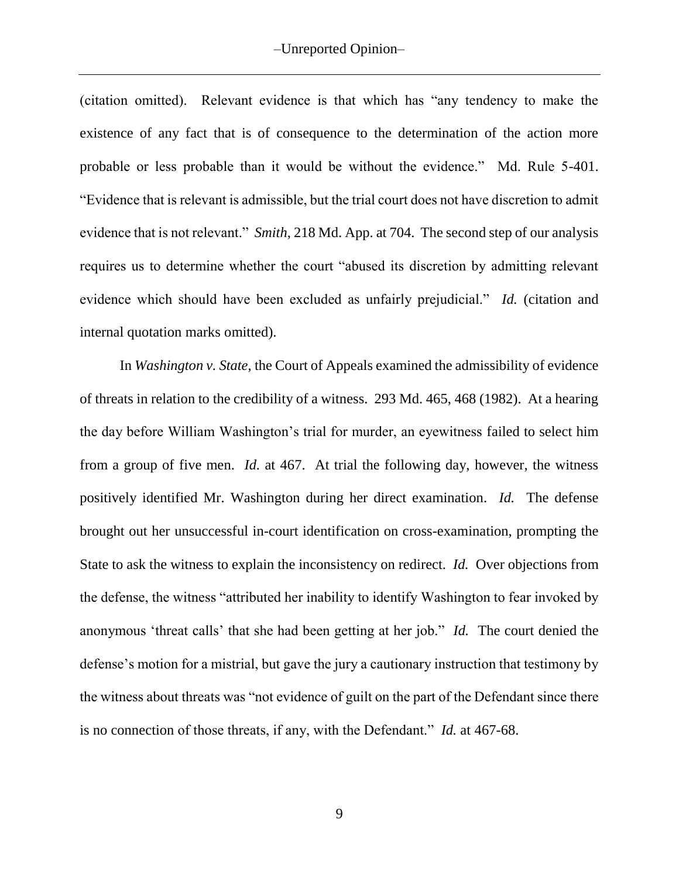(citation omitted). Relevant evidence is that which has "any tendency to make the existence of any fact that is of consequence to the determination of the action more probable or less probable than it would be without the evidence." Md. Rule 5-401. "Evidence that is relevant is admissible, but the trial court does not have discretion to admit evidence that is not relevant." *Smith*, 218 Md. App. at 704. The second step of our analysis requires us to determine whether the court "abused its discretion by admitting relevant evidence which should have been excluded as unfairly prejudicial." *Id.* (citation and internal quotation marks omitted).

In *Washington v. State*, the Court of Appeals examined the admissibility of evidence of threats in relation to the credibility of a witness. 293 Md. 465, 468 (1982). At a hearing the day before William Washington's trial for murder, an eyewitness failed to select him from a group of five men. *Id.* at 467. At trial the following day, however, the witness positively identified Mr. Washington during her direct examination. *Id.* The defense brought out her unsuccessful in-court identification on cross-examination, prompting the State to ask the witness to explain the inconsistency on redirect. *Id.* Over objections from the defense, the witness "attributed her inability to identify Washington to fear invoked by anonymous 'threat calls' that she had been getting at her job." *Id.* The court denied the defense's motion for a mistrial, but gave the jury a cautionary instruction that testimony by the witness about threats was "not evidence of guilt on the part of the Defendant since there is no connection of those threats, if any, with the Defendant." *Id.* at 467-68.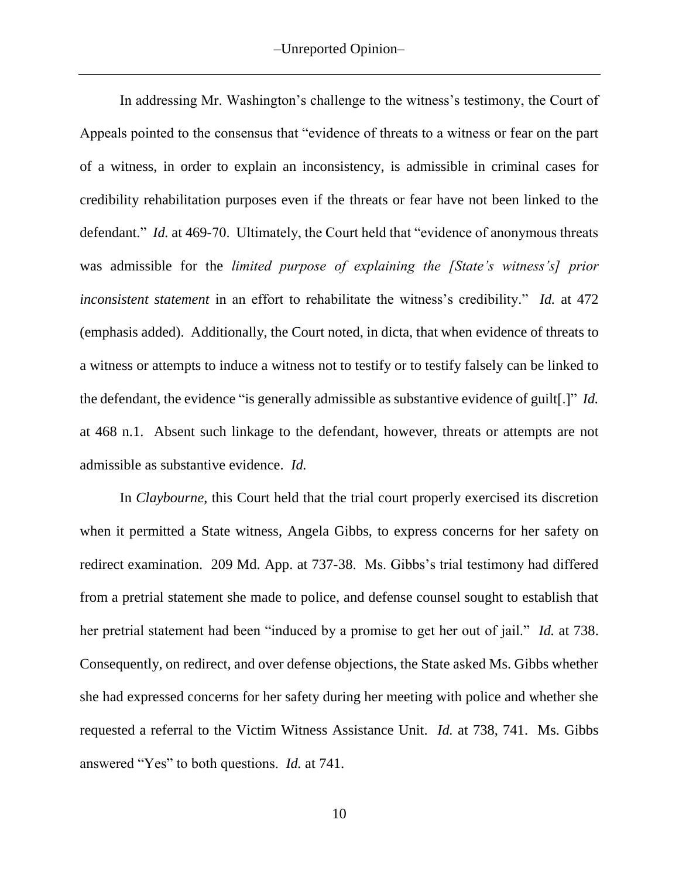In addressing Mr. Washington's challenge to the witness's testimony, the Court of Appeals pointed to the consensus that "evidence of threats to a witness or fear on the part of a witness, in order to explain an inconsistency, is admissible in criminal cases for credibility rehabilitation purposes even if the threats or fear have not been linked to the defendant." *Id.* at 469-70. Ultimately, the Court held that "evidence of anonymous threats was admissible for the *limited purpose of explaining the [State's witness's] prior inconsistent statement* in an effort to rehabilitate the witness's credibility." *Id.* at 472 (emphasis added). Additionally, the Court noted, in dicta, that when evidence of threats to a witness or attempts to induce a witness not to testify or to testify falsely can be linked to the defendant, the evidence "is generally admissible as substantive evidence of guilt[.]" *Id.* at 468 n.1. Absent such linkage to the defendant, however, threats or attempts are not admissible as substantive evidence. *Id.*

In *Claybourne*, this Court held that the trial court properly exercised its discretion when it permitted a State witness, Angela Gibbs, to express concerns for her safety on redirect examination. 209 Md. App. at 737-38. Ms. Gibbs's trial testimony had differed from a pretrial statement she made to police, and defense counsel sought to establish that her pretrial statement had been "induced by a promise to get her out of jail." *Id.* at 738. Consequently, on redirect, and over defense objections, the State asked Ms. Gibbs whether she had expressed concerns for her safety during her meeting with police and whether she requested a referral to the Victim Witness Assistance Unit. *Id.* at 738, 741. Ms. Gibbs answered "Yes" to both questions. *Id.* at 741.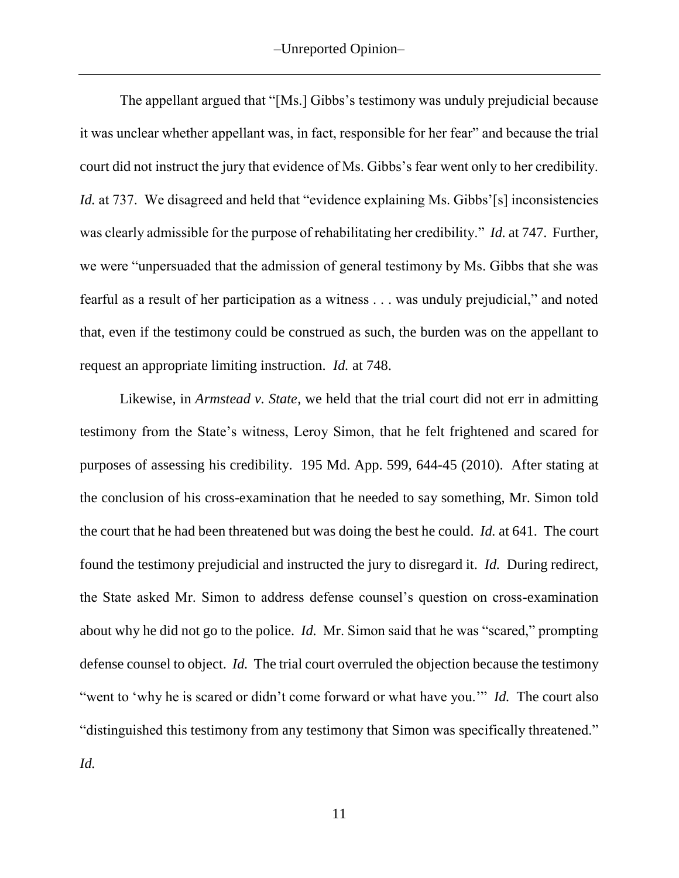The appellant argued that "[Ms.] Gibbs's testimony was unduly prejudicial because it was unclear whether appellant was, in fact, responsible for her fear" and because the trial court did not instruct the jury that evidence of Ms. Gibbs's fear went only to her credibility. *Id.* at 737. We disagreed and held that "evidence explaining Ms. Gibbs'[s] inconsistencies was clearly admissible for the purpose of rehabilitating her credibility." *Id.* at 747. Further, we were "unpersuaded that the admission of general testimony by Ms. Gibbs that she was fearful as a result of her participation as a witness . . . was unduly prejudicial," and noted that, even if the testimony could be construed as such, the burden was on the appellant to request an appropriate limiting instruction. *Id.* at 748.

Likewise, in *Armstead v. State*, we held that the trial court did not err in admitting testimony from the State's witness, Leroy Simon, that he felt frightened and scared for purposes of assessing his credibility. 195 Md. App. 599, 644-45 (2010). After stating at the conclusion of his cross-examination that he needed to say something, Mr. Simon told the court that he had been threatened but was doing the best he could. *Id.* at 641. The court found the testimony prejudicial and instructed the jury to disregard it. *Id.* During redirect, the State asked Mr. Simon to address defense counsel's question on cross-examination about why he did not go to the police. *Id.* Mr. Simon said that he was "scared," prompting defense counsel to object. *Id.* The trial court overruled the objection because the testimony "went to 'why he is scared or didn't come forward or what have you.'" *Id.* The court also "distinguished this testimony from any testimony that Simon was specifically threatened." *Id.*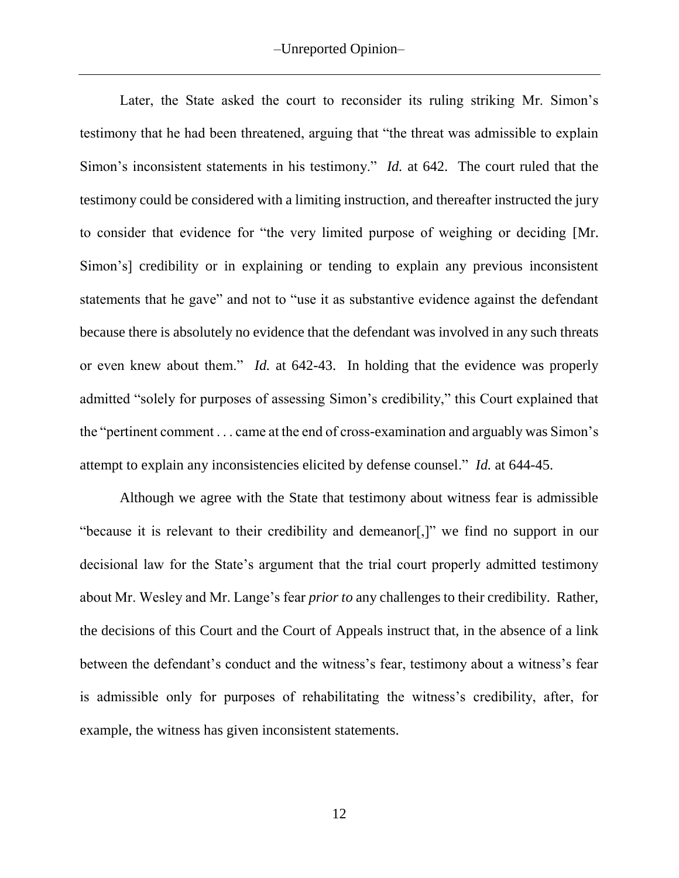Later, the State asked the court to reconsider its ruling striking Mr. Simon's testimony that he had been threatened, arguing that "the threat was admissible to explain Simon's inconsistent statements in his testimony." *Id.* at 642. The court ruled that the testimony could be considered with a limiting instruction, and thereafter instructed the jury to consider that evidence for "the very limited purpose of weighing or deciding [Mr. Simon's] credibility or in explaining or tending to explain any previous inconsistent statements that he gave" and not to "use it as substantive evidence against the defendant because there is absolutely no evidence that the defendant was involved in any such threats or even knew about them." *Id.* at 642-43. In holding that the evidence was properly admitted "solely for purposes of assessing Simon's credibility," this Court explained that the "pertinent comment . . . came at the end of cross-examination and arguably was Simon's attempt to explain any inconsistencies elicited by defense counsel." *Id.* at 644-45.

Although we agree with the State that testimony about witness fear is admissible "because it is relevant to their credibility and demeanor[,]" we find no support in our decisional law for the State's argument that the trial court properly admitted testimony about Mr. Wesley and Mr. Lange's fear *prior to* any challenges to their credibility. Rather, the decisions of this Court and the Court of Appeals instruct that, in the absence of a link between the defendant's conduct and the witness's fear, testimony about a witness's fear is admissible only for purposes of rehabilitating the witness's credibility, after, for example, the witness has given inconsistent statements.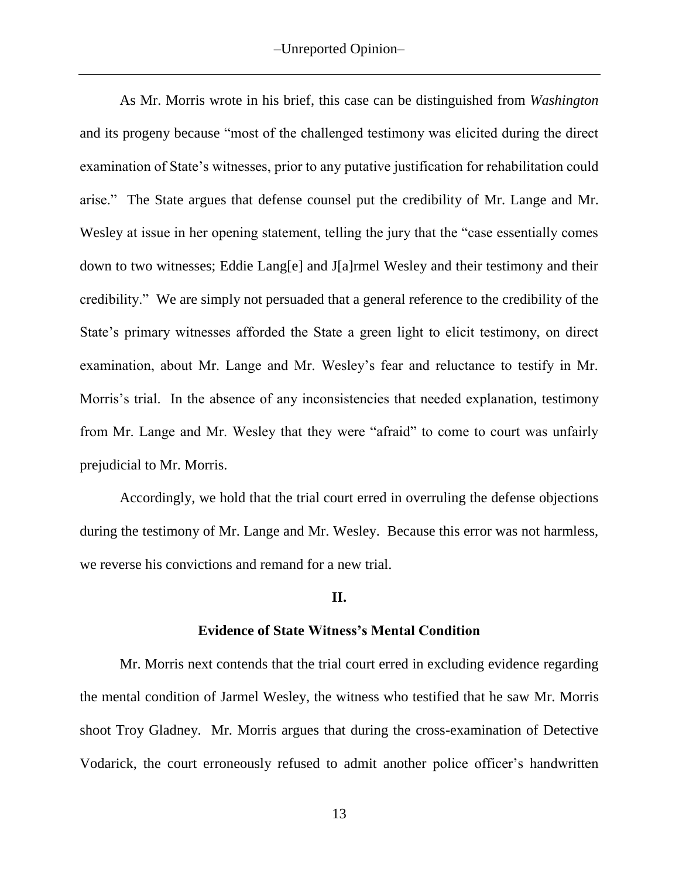As Mr. Morris wrote in his brief, this case can be distinguished from *Washington*  and its progeny because "most of the challenged testimony was elicited during the direct examination of State's witnesses, prior to any putative justification for rehabilitation could arise." The State argues that defense counsel put the credibility of Mr. Lange and Mr. Wesley at issue in her opening statement, telling the jury that the "case essentially comes down to two witnesses; Eddie Lang[e] and J[a]rmel Wesley and their testimony and their credibility." We are simply not persuaded that a general reference to the credibility of the State's primary witnesses afforded the State a green light to elicit testimony, on direct examination, about Mr. Lange and Mr. Wesley's fear and reluctance to testify in Mr. Morris's trial. In the absence of any inconsistencies that needed explanation, testimony from Mr. Lange and Mr. Wesley that they were "afraid" to come to court was unfairly prejudicial to Mr. Morris.

Accordingly, we hold that the trial court erred in overruling the defense objections during the testimony of Mr. Lange and Mr. Wesley. Because this error was not harmless, we reverse his convictions and remand for a new trial.

#### **II.**

#### **Evidence of State Witness's Mental Condition**

Mr. Morris next contends that the trial court erred in excluding evidence regarding the mental condition of Jarmel Wesley, the witness who testified that he saw Mr. Morris shoot Troy Gladney. Mr. Morris argues that during the cross-examination of Detective Vodarick, the court erroneously refused to admit another police officer's handwritten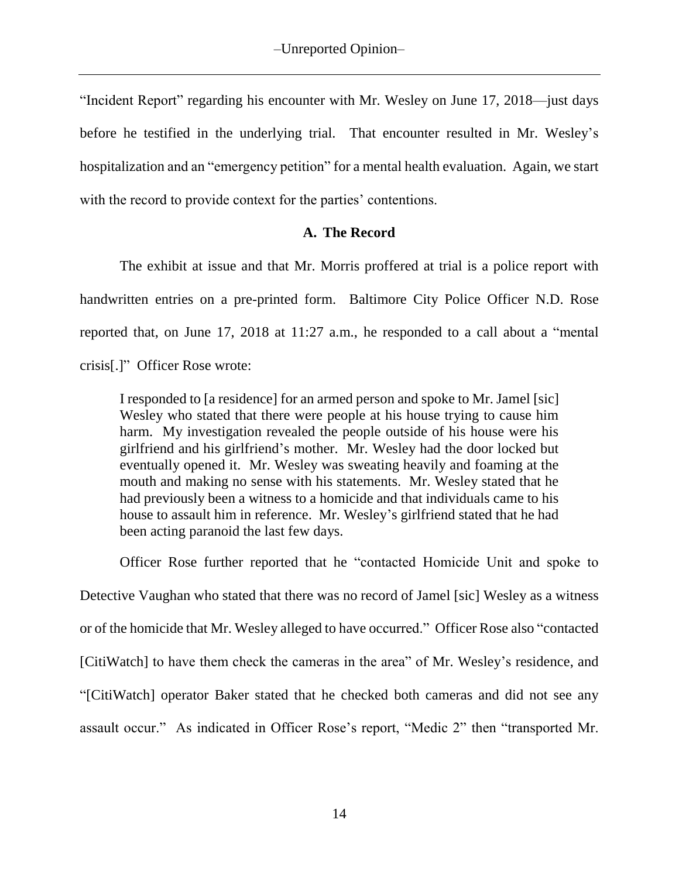"Incident Report" regarding his encounter with Mr. Wesley on June 17, 2018—just days before he testified in the underlying trial. That encounter resulted in Mr. Wesley's hospitalization and an "emergency petition" for a mental health evaluation. Again, we start with the record to provide context for the parties' contentions.

## **A. The Record**

The exhibit at issue and that Mr. Morris proffered at trial is a police report with handwritten entries on a pre-printed form. Baltimore City Police Officer N.D. Rose reported that, on June 17, 2018 at 11:27 a.m., he responded to a call about a "mental crisis[.]" Officer Rose wrote:

I responded to [a residence] for an armed person and spoke to Mr. Jamel [sic] Wesley who stated that there were people at his house trying to cause him harm. My investigation revealed the people outside of his house were his girlfriend and his girlfriend's mother. Mr. Wesley had the door locked but eventually opened it. Mr. Wesley was sweating heavily and foaming at the mouth and making no sense with his statements. Mr. Wesley stated that he had previously been a witness to a homicide and that individuals came to his house to assault him in reference. Mr. Wesley's girlfriend stated that he had been acting paranoid the last few days.

Officer Rose further reported that he "contacted Homicide Unit and spoke to Detective Vaughan who stated that there was no record of Jamel [sic] Wesley as a witness or of the homicide that Mr. Wesley alleged to have occurred." Officer Rose also "contacted [CitiWatch] to have them check the cameras in the area" of Mr. Wesley's residence, and "[CitiWatch] operator Baker stated that he checked both cameras and did not see any assault occur." As indicated in Officer Rose's report, "Medic 2" then "transported Mr.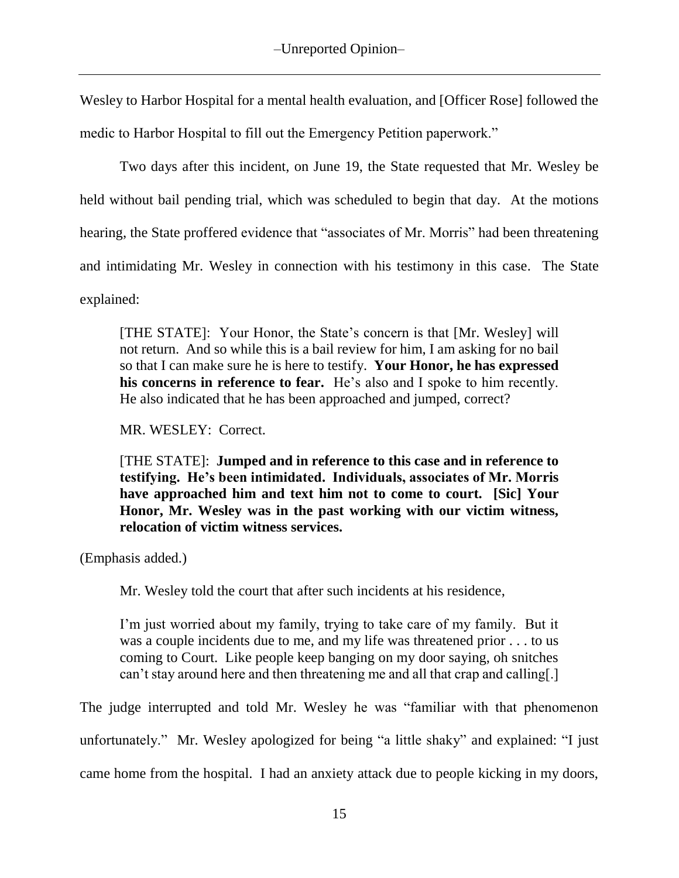Wesley to Harbor Hospital for a mental health evaluation, and [Officer Rose] followed the medic to Harbor Hospital to fill out the Emergency Petition paperwork."

Two days after this incident, on June 19, the State requested that Mr. Wesley be held without bail pending trial, which was scheduled to begin that day. At the motions hearing, the State proffered evidence that "associates of Mr. Morris" had been threatening and intimidating Mr. Wesley in connection with his testimony in this case. The State explained:

[THE STATE]: Your Honor, the State's concern is that [Mr. Wesley] will not return. And so while this is a bail review for him, I am asking for no bail so that I can make sure he is here to testify. **Your Honor, he has expressed his concerns in reference to fear.** He's also and I spoke to him recently. He also indicated that he has been approached and jumped, correct?

MR. WESLEY: Correct.

[THE STATE]: **Jumped and in reference to this case and in reference to testifying. He's been intimidated. Individuals, associates of Mr. Morris have approached him and text him not to come to court. [Sic] Your Honor, Mr. Wesley was in the past working with our victim witness, relocation of victim witness services.**

(Emphasis added.)

Mr. Wesley told the court that after such incidents at his residence,

I'm just worried about my family, trying to take care of my family. But it was a couple incidents due to me, and my life was threatened prior . . . to us coming to Court. Like people keep banging on my door saying, oh snitches can't stay around here and then threatening me and all that crap and calling[.]

The judge interrupted and told Mr. Wesley he was "familiar with that phenomenon

unfortunately." Mr. Wesley apologized for being "a little shaky" and explained: "I just

came home from the hospital. I had an anxiety attack due to people kicking in my doors,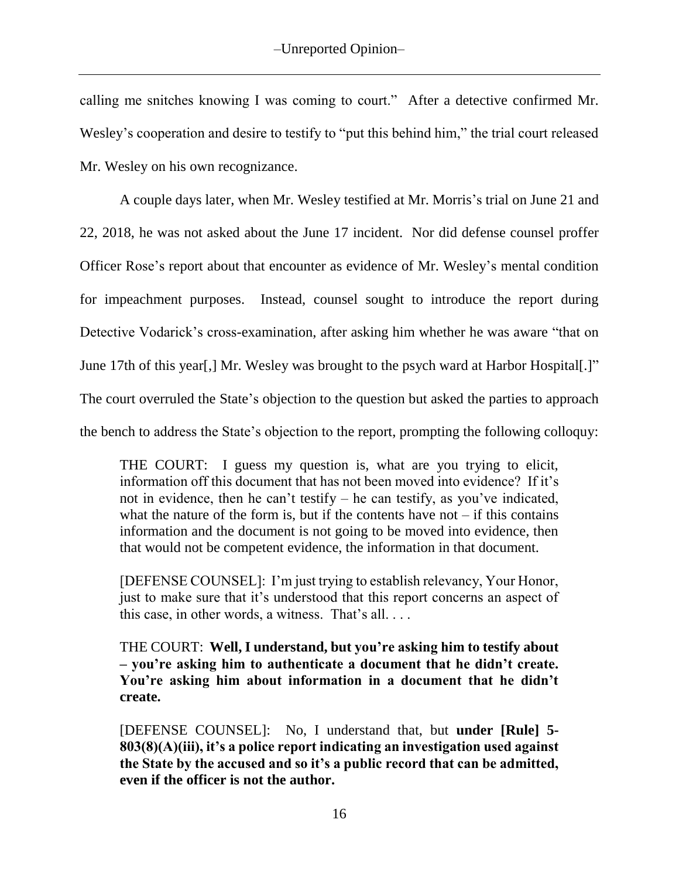calling me snitches knowing I was coming to court." After a detective confirmed Mr. Wesley's cooperation and desire to testify to "put this behind him," the trial court released Mr. Wesley on his own recognizance.

A couple days later, when Mr. Wesley testified at Mr. Morris's trial on June 21 and 22, 2018, he was not asked about the June 17 incident. Nor did defense counsel proffer Officer Rose's report about that encounter as evidence of Mr. Wesley's mental condition for impeachment purposes. Instead, counsel sought to introduce the report during Detective Vodarick's cross-examination, after asking him whether he was aware "that on June 17th of this year[,] Mr. Wesley was brought to the psych ward at Harbor Hospital[.]" The court overruled the State's objection to the question but asked the parties to approach the bench to address the State's objection to the report, prompting the following colloquy:

THE COURT: I guess my question is, what are you trying to elicit, information off this document that has not been moved into evidence? If it's not in evidence, then he can't testify – he can testify, as you've indicated, what the nature of the form is, but if the contents have not  $-$  if this contains information and the document is not going to be moved into evidence, then that would not be competent evidence, the information in that document.

[DEFENSE COUNSEL]: I'm just trying to establish relevancy, Your Honor, just to make sure that it's understood that this report concerns an aspect of this case, in other words, a witness. That's all. . . .

THE COURT: **Well, I understand, but you're asking him to testify about – you're asking him to authenticate a document that he didn't create. You're asking him about information in a document that he didn't create.**

[DEFENSE COUNSEL]: No, I understand that, but **under [Rule] 5- 803(8)(A)(iii), it's a police report indicating an investigation used against the State by the accused and so it's a public record that can be admitted, even if the officer is not the author.**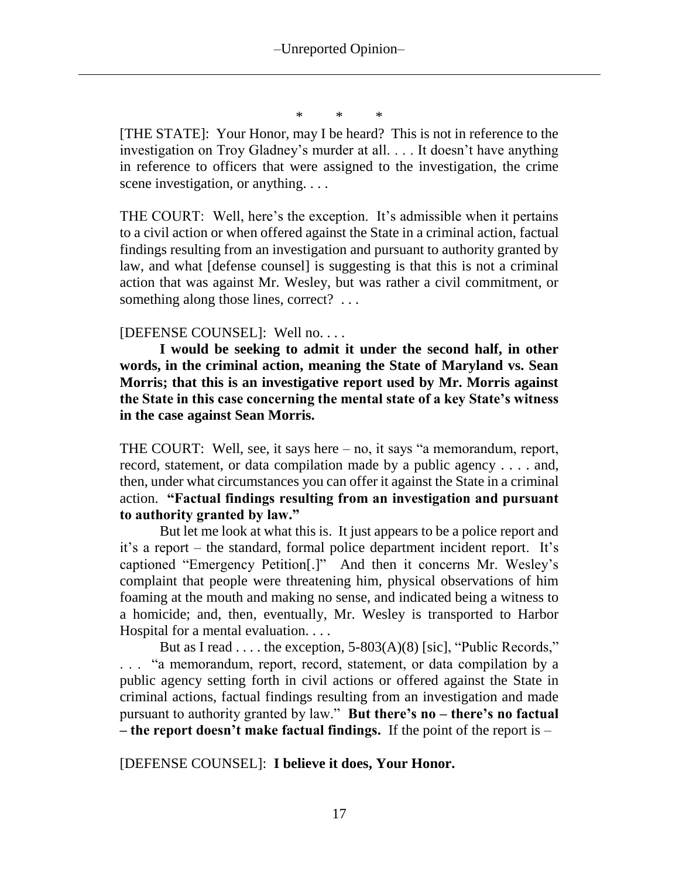\* \* \*

[THE STATE]: Your Honor, may I be heard? This is not in reference to the investigation on Troy Gladney's murder at all. . . . It doesn't have anything in reference to officers that were assigned to the investigation, the crime scene investigation, or anything....

THE COURT: Well, here's the exception. It's admissible when it pertains to a civil action or when offered against the State in a criminal action, factual findings resulting from an investigation and pursuant to authority granted by law, and what [defense counsel] is suggesting is that this is not a criminal action that was against Mr. Wesley, but was rather a civil commitment, or something along those lines, correct? ...

### [DEFENSE COUNSEL]: Well no. . . .

**I would be seeking to admit it under the second half, in other words, in the criminal action, meaning the State of Maryland vs. Sean Morris; that this is an investigative report used by Mr. Morris against the State in this case concerning the mental state of a key State's witness in the case against Sean Morris.**

THE COURT: Well, see, it says here – no, it says "a memorandum, report, record, statement, or data compilation made by a public agency . . . . and, then, under what circumstances you can offer it against the State in a criminal action. **"Factual findings resulting from an investigation and pursuant to authority granted by law."**

But let me look at what this is. It just appears to be a police report and it's a report – the standard, formal police department incident report. It's captioned "Emergency Petition[.]" And then it concerns Mr. Wesley's complaint that people were threatening him, physical observations of him foaming at the mouth and making no sense, and indicated being a witness to a homicide; and, then, eventually, Mr. Wesley is transported to Harbor Hospital for a mental evaluation. . . .

But as I read . . . . the exception,  $5-803(A)(8)$  [sic], "Public Records," "a memorandum, report, record, statement, or data compilation by a public agency setting forth in civil actions or offered against the State in criminal actions, factual findings resulting from an investigation and made pursuant to authority granted by law." **But there's no – there's no factual – the report doesn't make factual findings.** If the point of the report is –

[DEFENSE COUNSEL]: **I believe it does, Your Honor.**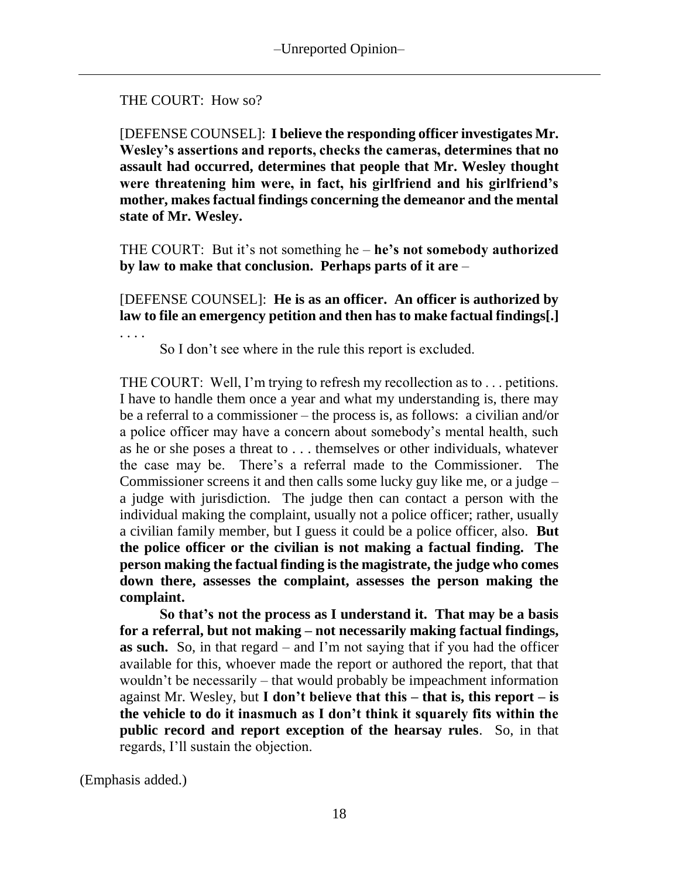## THE COURT: How so?

[DEFENSE COUNSEL]: **I believe the responding officer investigates Mr. Wesley's assertions and reports, checks the cameras, determines that no assault had occurred, determines that people that Mr. Wesley thought were threatening him were, in fact, his girlfriend and his girlfriend's mother, makes factual findings concerning the demeanor and the mental state of Mr. Wesley.**

THE COURT: But it's not something he – **he's not somebody authorized by law to make that conclusion. Perhaps parts of it are** –

[DEFENSE COUNSEL]: **He is as an officer. An officer is authorized by law to file an emergency petition and then has to make factual findings[.]**

So I don't see where in the rule this report is excluded.

THE COURT: Well, I'm trying to refresh my recollection as to . . . petitions. I have to handle them once a year and what my understanding is, there may be a referral to a commissioner – the process is, as follows: a civilian and/or a police officer may have a concern about somebody's mental health, such as he or she poses a threat to . . . themselves or other individuals, whatever the case may be. There's a referral made to the Commissioner. The Commissioner screens it and then calls some lucky guy like me, or a judge – a judge with jurisdiction. The judge then can contact a person with the individual making the complaint, usually not a police officer; rather, usually a civilian family member, but I guess it could be a police officer, also. **But the police officer or the civilian is not making a factual finding. The person making the factual finding is the magistrate, the judge who comes down there, assesses the complaint, assesses the person making the complaint.**

**So that's not the process as I understand it. That may be a basis for a referral, but not making – not necessarily making factual findings, as such.** So, in that regard – and I'm not saying that if you had the officer available for this, whoever made the report or authored the report, that that wouldn't be necessarily – that would probably be impeachment information against Mr. Wesley, but **I don't believe that this – that is, this report – is the vehicle to do it inasmuch as I don't think it squarely fits within the public record and report exception of the hearsay rules**. So, in that regards, I'll sustain the objection.

(Emphasis added.)

. . . .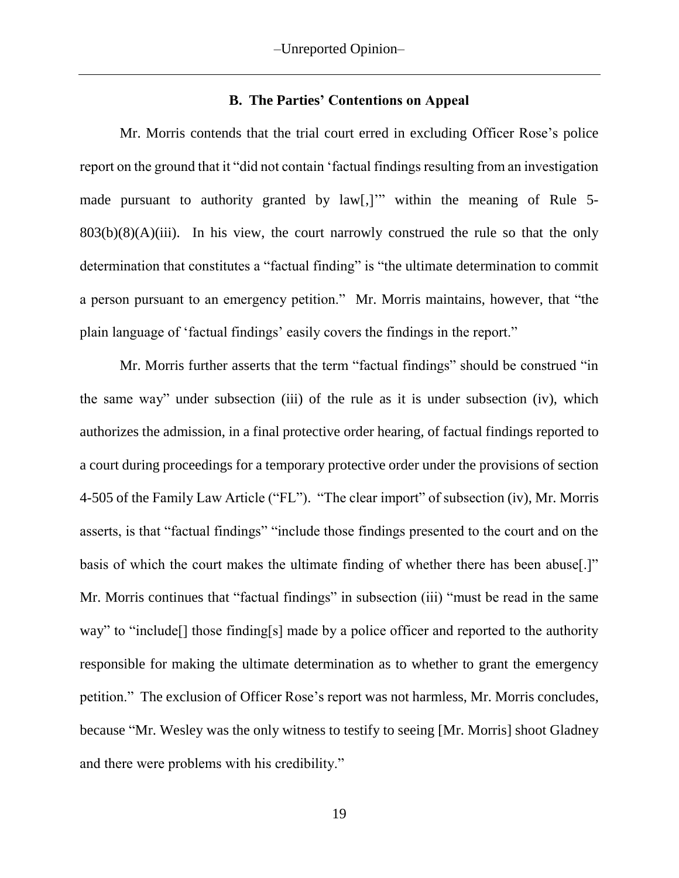#### **B. The Parties' Contentions on Appeal**

Mr. Morris contends that the trial court erred in excluding Officer Rose's police report on the ground that it "did not contain 'factual findings resulting from an investigation made pursuant to authority granted by law[,]" within the meaning of Rule 5- $803(b)(8)(A)(iii)$ . In his view, the court narrowly construed the rule so that the only determination that constitutes a "factual finding" is "the ultimate determination to commit a person pursuant to an emergency petition." Mr. Morris maintains, however, that "the plain language of 'factual findings' easily covers the findings in the report."

Mr. Morris further asserts that the term "factual findings" should be construed "in the same way" under subsection (iii) of the rule as it is under subsection (iv), which authorizes the admission, in a final protective order hearing, of factual findings reported to a court during proceedings for a temporary protective order under the provisions of section 4-505 of the Family Law Article ("FL"). "The clear import" of subsection (iv), Mr. Morris asserts, is that "factual findings" "include those findings presented to the court and on the basis of which the court makes the ultimate finding of whether there has been abuse[.]" Mr. Morris continues that "factual findings" in subsection (iii) "must be read in the same way" to "include<sup>[]</sup> those finding<sup>[s]</sup> made by a police officer and reported to the authority responsible for making the ultimate determination as to whether to grant the emergency petition." The exclusion of Officer Rose's report was not harmless, Mr. Morris concludes, because "Mr. Wesley was the only witness to testify to seeing [Mr. Morris] shoot Gladney and there were problems with his credibility."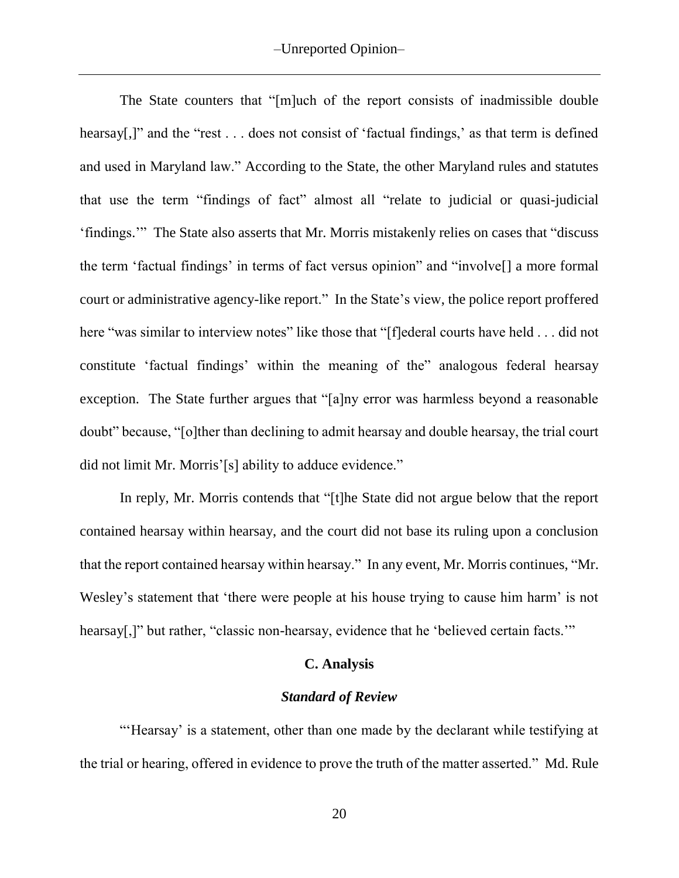The State counters that "[m]uch of the report consists of inadmissible double hearsay[,]" and the "rest . . . does not consist of 'factual findings,' as that term is defined and used in Maryland law." According to the State, the other Maryland rules and statutes that use the term "findings of fact" almost all "relate to judicial or quasi-judicial 'findings.'" The State also asserts that Mr. Morris mistakenly relies on cases that "discuss the term 'factual findings' in terms of fact versus opinion" and "involve[] a more formal court or administrative agency-like report." In the State's view, the police report proffered here "was similar to interview notes" like those that "[f]ederal courts have held . . . did not constitute 'factual findings' within the meaning of the" analogous federal hearsay exception. The State further argues that "[a]ny error was harmless beyond a reasonable doubt" because, "[o]ther than declining to admit hearsay and double hearsay, the trial court did not limit Mr. Morris'[s] ability to adduce evidence."

In reply, Mr. Morris contends that "[t]he State did not argue below that the report contained hearsay within hearsay, and the court did not base its ruling upon a conclusion that the report contained hearsay within hearsay." In any event, Mr. Morris continues, "Mr. Wesley's statement that 'there were people at his house trying to cause him harm' is not hearsay[,]" but rather, "classic non-hearsay, evidence that he 'believed certain facts."

#### **C. Analysis**

#### *Standard of Review*

"'Hearsay' is a statement, other than one made by the declarant while testifying at the trial or hearing, offered in evidence to prove the truth of the matter asserted." Md. Rule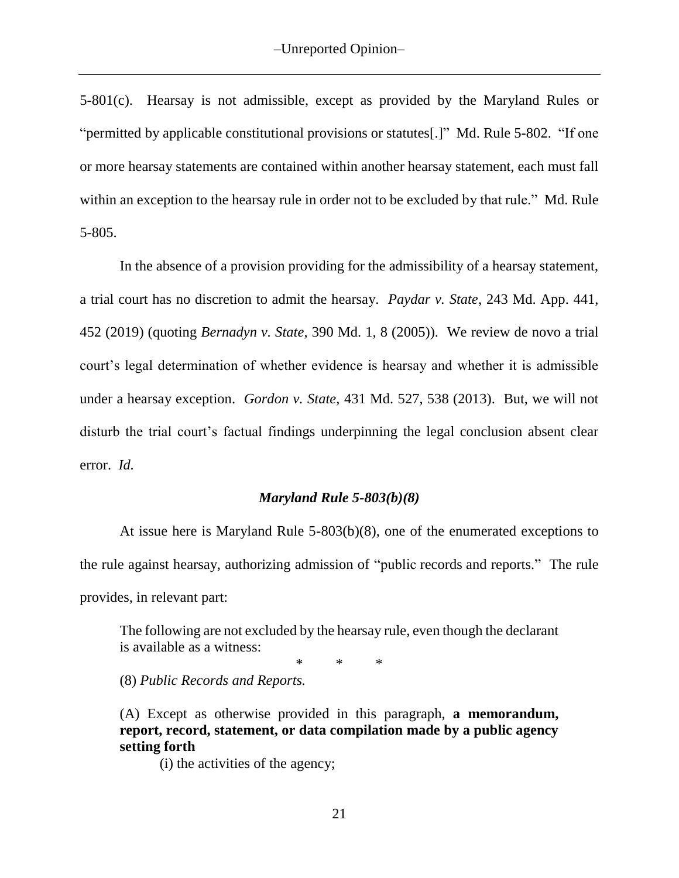5-801(c). Hearsay is not admissible, except as provided by the Maryland Rules or "permitted by applicable constitutional provisions or statutes[.]" Md. Rule 5-802. "If one or more hearsay statements are contained within another hearsay statement, each must fall within an exception to the hearsay rule in order not to be excluded by that rule." Md. Rule 5-805.

In the absence of a provision providing for the admissibility of a hearsay statement, a trial court has no discretion to admit the hearsay. *Paydar v. State*, 243 Md. App. 441, 452 (2019) (quoting *Bernadyn v. State*, 390 Md. 1, 8 (2005)). We review de novo a trial court's legal determination of whether evidence is hearsay and whether it is admissible under a hearsay exception. *Gordon v. State*, 431 Md. 527, 538 (2013). But, we will not disturb the trial court's factual findings underpinning the legal conclusion absent clear error. *Id.*

### *Maryland Rule 5-803(b)(8)*

At issue here is Maryland Rule 5-803(b)(8), one of the enumerated exceptions to the rule against hearsay, authorizing admission of "public records and reports." The rule provides, in relevant part:

The following are not excluded by the hearsay rule, even though the declarant is available as a witness:

\* \* \*

(8) *Public Records and Reports.*

(A) Except as otherwise provided in this paragraph, **a memorandum, report, record, statement, or data compilation made by a public agency setting forth**

(i) the activities of the agency;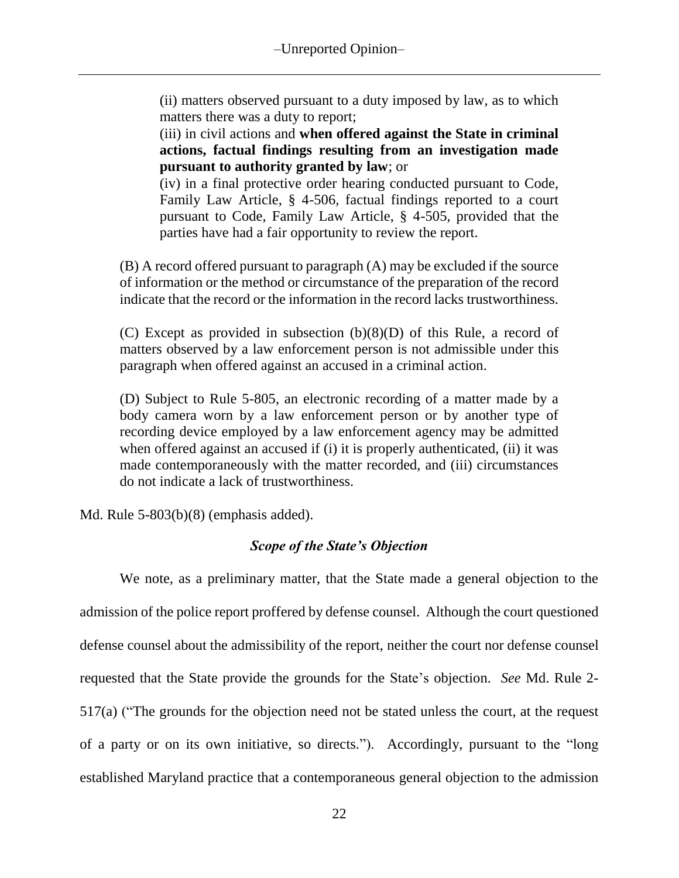(ii) matters observed pursuant to a duty imposed by law, as to which matters there was a duty to report;

(iii) in civil actions and **when offered against the State in criminal actions, factual findings resulting from an investigation made pursuant to authority granted by law**; or

(iv) in a final protective order hearing conducted pursuant to Code, Family Law Article, § 4-506, factual findings reported to a court pursuant to Code, Family Law Article, § 4-505, provided that the parties have had a fair opportunity to review the report.

(B) A record offered pursuant to paragraph (A) may be excluded if the source of information or the method or circumstance of the preparation of the record indicate that the record or the information in the record lacks trustworthiness.

(C) Except as provided in subsection (b)(8)(D) of this Rule, a record of matters observed by a law enforcement person is not admissible under this paragraph when offered against an accused in a criminal action.

(D) Subject to Rule 5-805, an electronic recording of a matter made by a body camera worn by a law enforcement person or by another type of recording device employed by a law enforcement agency may be admitted when offered against an accused if (i) it is properly authenticated, (ii) it was made contemporaneously with the matter recorded, and (iii) circumstances do not indicate a lack of trustworthiness.

Md. Rule 5-803(b)(8) (emphasis added).

# *Scope of the State's Objection*

We note, as a preliminary matter, that the State made a general objection to the admission of the police report proffered by defense counsel. Although the court questioned defense counsel about the admissibility of the report, neither the court nor defense counsel requested that the State provide the grounds for the State's objection. *See* Md. Rule 2- 517(a) ("The grounds for the objection need not be stated unless the court, at the request of a party or on its own initiative, so directs."). Accordingly, pursuant to the "long established Maryland practice that a contemporaneous general objection to the admission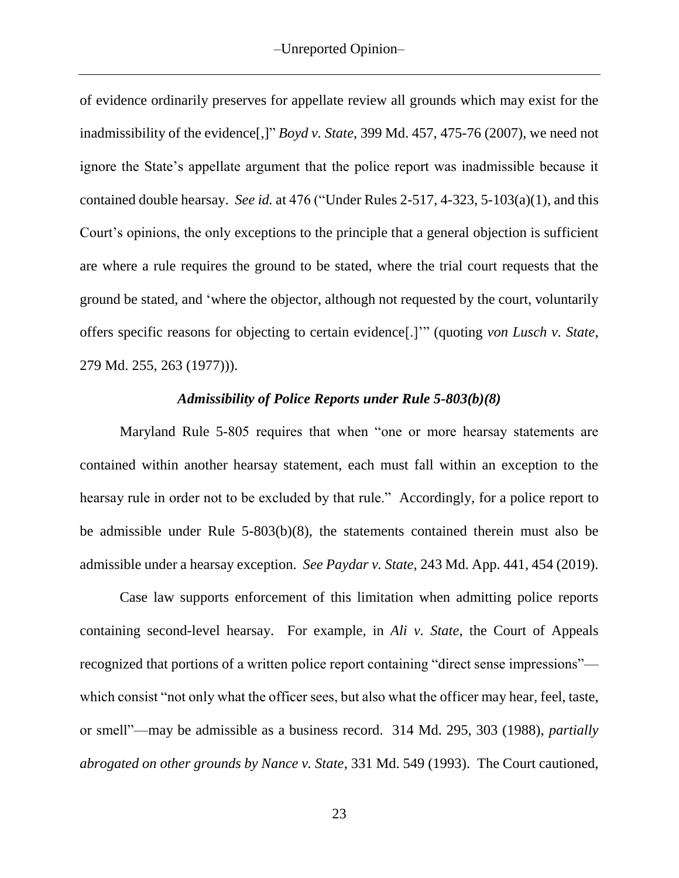of evidence ordinarily preserves for appellate review all grounds which may exist for the inadmissibility of the evidence[,]" *Boyd v. State*, 399 Md. 457, 475-76 (2007), we need not ignore the State's appellate argument that the police report was inadmissible because it contained double hearsay. *See id.* at 476 ("Under Rules 2-517, 4-323, 5-103(a)(1), and this Court's opinions, the only exceptions to the principle that a general objection is sufficient are where a rule requires the ground to be stated, where the trial court requests that the ground be stated, and 'where the objector, although not requested by the court, voluntarily offers specific reasons for objecting to certain evidence[.]'" (quoting *von Lusch v. State*, 279 Md. 255, 263 (1977))).

### *Admissibility of Police Reports under Rule 5-803(b)(8)*

Maryland Rule 5-805 requires that when "one or more hearsay statements are contained within another hearsay statement, each must fall within an exception to the hearsay rule in order not to be excluded by that rule." Accordingly, for a police report to be admissible under Rule 5-803(b)(8), the statements contained therein must also be admissible under a hearsay exception. *See Paydar v. State*, 243 Md. App. 441, 454 (2019).

Case law supports enforcement of this limitation when admitting police reports containing second-level hearsay. For example, in *Ali v. State*, the Court of Appeals recognized that portions of a written police report containing "direct sense impressions" which consist "not only what the officer sees, but also what the officer may hear, feel, taste, or smell"—may be admissible as a business record. 314 Md. 295, 303 (1988), *partially abrogated on other grounds by Nance v. State*, 331 Md. 549 (1993). The Court cautioned,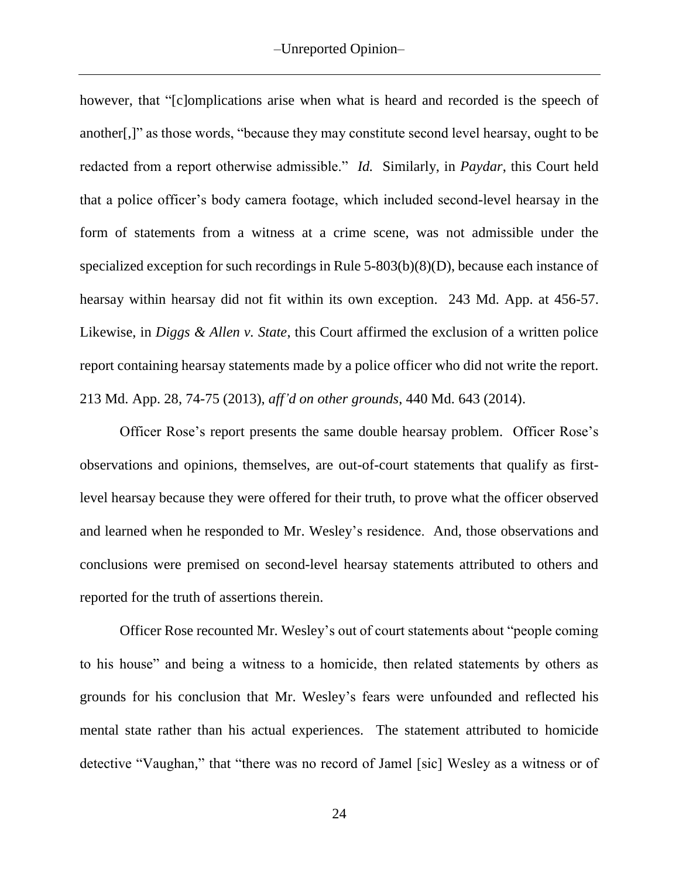however, that "[c]omplications arise when what is heard and recorded is the speech of another[,]" as those words, "because they may constitute second level hearsay, ought to be redacted from a report otherwise admissible." *Id.*Similarly, in *Paydar*, this Court held that a police officer's body camera footage, which included second-level hearsay in the form of statements from a witness at a crime scene, was not admissible under the specialized exception for such recordings in Rule 5-803(b)(8)(D), because each instance of hearsay within hearsay did not fit within its own exception. 243 Md. App. at 456-57. Likewise, in *Diggs & Allen v. State*, this Court affirmed the exclusion of a written police report containing hearsay statements made by a police officer who did not write the report. 213 Md. App. 28, 74-75 (2013), *aff'd on other grounds*, 440 Md. 643 (2014).

Officer Rose's report presents the same double hearsay problem. Officer Rose's observations and opinions, themselves, are out-of-court statements that qualify as firstlevel hearsay because they were offered for their truth, to prove what the officer observed and learned when he responded to Mr. Wesley's residence. And, those observations and conclusions were premised on second-level hearsay statements attributed to others and reported for the truth of assertions therein.

Officer Rose recounted Mr. Wesley's out of court statements about "people coming to his house" and being a witness to a homicide, then related statements by others as grounds for his conclusion that Mr. Wesley's fears were unfounded and reflected his mental state rather than his actual experiences. The statement attributed to homicide detective "Vaughan," that "there was no record of Jamel [sic] Wesley as a witness or of

24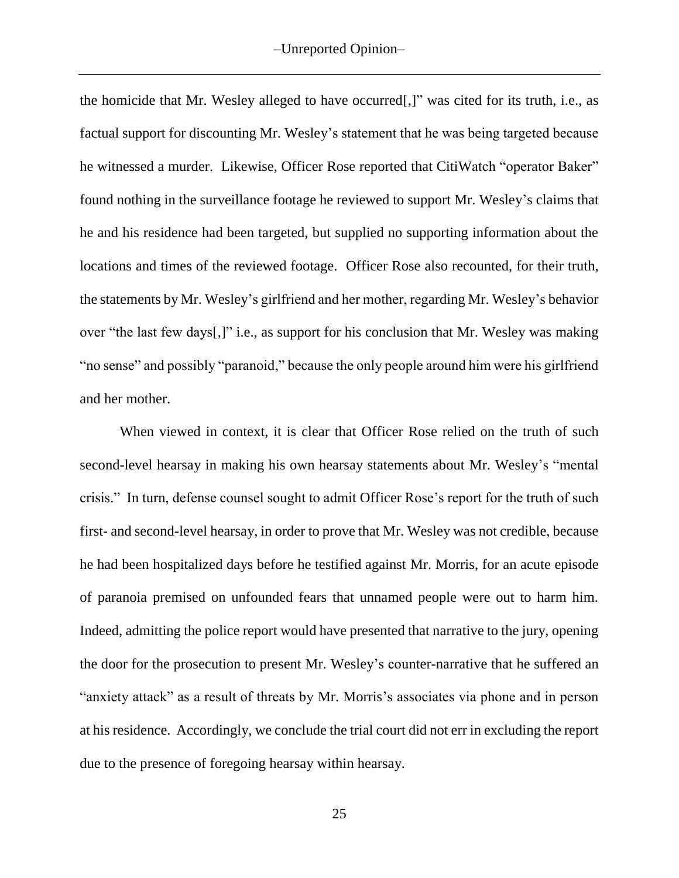the homicide that Mr. Wesley alleged to have occurred[,]" was cited for its truth, i.e., as factual support for discounting Mr. Wesley's statement that he was being targeted because he witnessed a murder. Likewise, Officer Rose reported that CitiWatch "operator Baker" found nothing in the surveillance footage he reviewed to support Mr. Wesley's claims that he and his residence had been targeted, but supplied no supporting information about the locations and times of the reviewed footage. Officer Rose also recounted, for their truth, the statements by Mr. Wesley's girlfriend and her mother, regarding Mr. Wesley's behavior over "the last few days[,]" i.e., as support for his conclusion that Mr. Wesley was making "no sense" and possibly "paranoid," because the only people around him were his girlfriend and her mother.

When viewed in context, it is clear that Officer Rose relied on the truth of such second-level hearsay in making his own hearsay statements about Mr. Wesley's "mental crisis." In turn, defense counsel sought to admit Officer Rose's report for the truth of such first- and second-level hearsay, in order to prove that Mr. Wesley was not credible, because he had been hospitalized days before he testified against Mr. Morris, for an acute episode of paranoia premised on unfounded fears that unnamed people were out to harm him. Indeed, admitting the police report would have presented that narrative to the jury, opening the door for the prosecution to present Mr. Wesley's counter-narrative that he suffered an "anxiety attack" as a result of threats by Mr. Morris's associates via phone and in person at his residence. Accordingly, we conclude the trial court did not err in excluding the report due to the presence of foregoing hearsay within hearsay.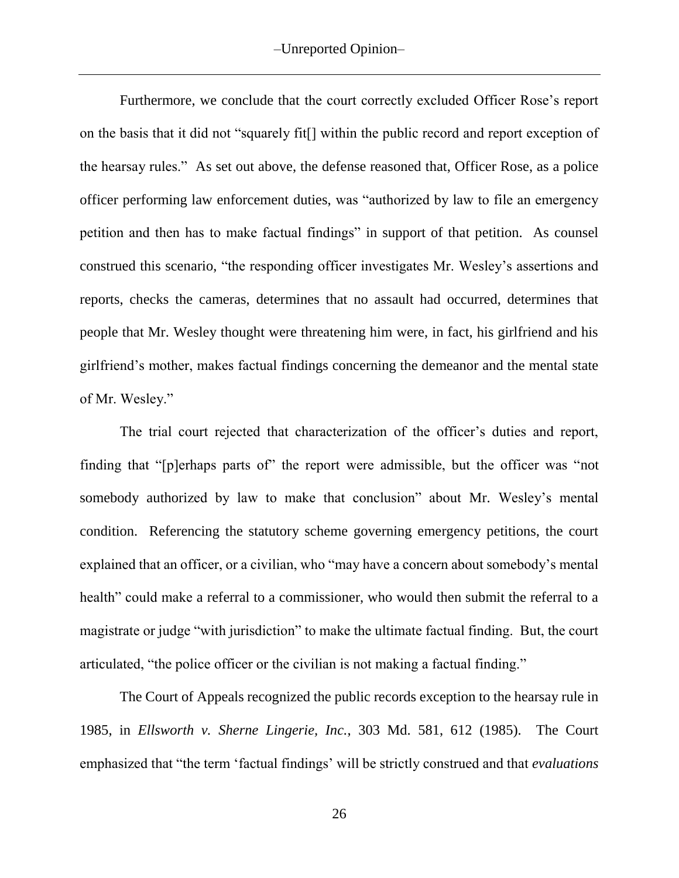Furthermore, we conclude that the court correctly excluded Officer Rose's report on the basis that it did not "squarely fit[] within the public record and report exception of the hearsay rules." As set out above, the defense reasoned that, Officer Rose, as a police officer performing law enforcement duties, was "authorized by law to file an emergency petition and then has to make factual findings" in support of that petition. As counsel construed this scenario, "the responding officer investigates Mr. Wesley's assertions and reports, checks the cameras, determines that no assault had occurred, determines that people that Mr. Wesley thought were threatening him were, in fact, his girlfriend and his girlfriend's mother, makes factual findings concerning the demeanor and the mental state of Mr. Wesley."

The trial court rejected that characterization of the officer's duties and report, finding that "[p]erhaps parts of" the report were admissible, but the officer was "not somebody authorized by law to make that conclusion" about Mr. Wesley's mental condition. Referencing the statutory scheme governing emergency petitions, the court explained that an officer, or a civilian, who "may have a concern about somebody's mental health" could make a referral to a commissioner, who would then submit the referral to a magistrate or judge "with jurisdiction" to make the ultimate factual finding. But, the court articulated, "the police officer or the civilian is not making a factual finding."

The Court of Appeals recognized the public records exception to the hearsay rule in 1985, in *Ellsworth v. Sherne Lingerie, Inc.*, 303 Md. 581, 612 (1985). The Court emphasized that "the term 'factual findings' will be strictly construed and that *evaluations*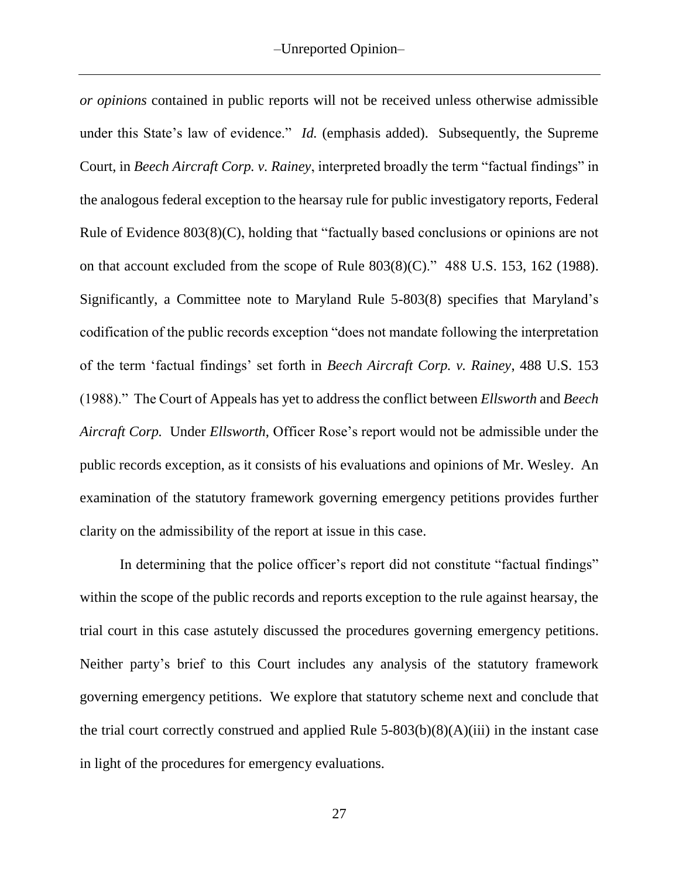*or opinions* contained in public reports will not be received unless otherwise admissible under this State's law of evidence." *Id.* (emphasis added). Subsequently, the Supreme Court, in *Beech Aircraft Corp. v. Rainey*, interpreted broadly the term "factual findings" in the analogous federal exception to the hearsay rule for public investigatory reports, Federal Rule of Evidence 803(8)(C), holding that "factually based conclusions or opinions are not on that account excluded from the scope of Rule 803(8)(C)." 488 U.S. 153, 162 (1988). Significantly, a Committee note to Maryland Rule 5-803(8) specifies that Maryland's codification of the public records exception "does not mandate following the interpretation of the term 'factual findings' set forth in *Beech Aircraft Corp. v. Rainey*, 488 U.S. 153 (1988)." The Court of Appeals has yet to address the conflict between *Ellsworth* and *Beech Aircraft Corp.* Under *Ellsworth*, Officer Rose's report would not be admissible under the public records exception, as it consists of his evaluations and opinions of Mr. Wesley. An examination of the statutory framework governing emergency petitions provides further clarity on the admissibility of the report at issue in this case.

In determining that the police officer's report did not constitute "factual findings" within the scope of the public records and reports exception to the rule against hearsay, the trial court in this case astutely discussed the procedures governing emergency petitions. Neither party's brief to this Court includes any analysis of the statutory framework governing emergency petitions. We explore that statutory scheme next and conclude that the trial court correctly construed and applied Rule  $5-803(b)(8)(A)(iii)$  in the instant case in light of the procedures for emergency evaluations.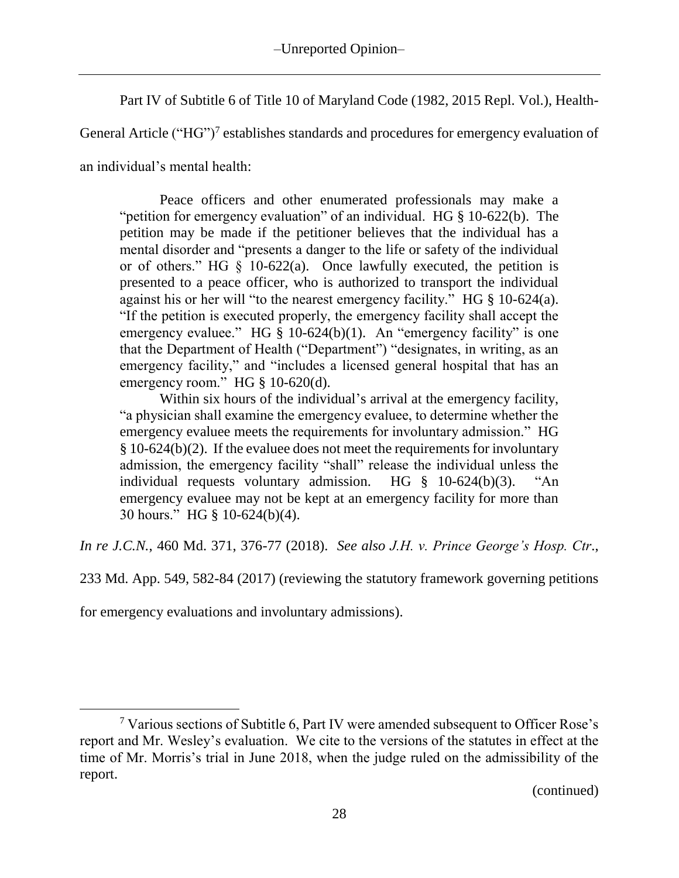Part IV of Subtitle 6 of Title 10 of Maryland Code (1982, 2015 Repl. Vol.), Health-

General Article ("HG")<sup>7</sup> establishes standards and procedures for emergency evaluation of

an individual's mental health:

Peace officers and other enumerated professionals may make a "petition for emergency evaluation" of an individual. HG § 10-622(b). The petition may be made if the petitioner believes that the individual has a mental disorder and "presents a danger to the life or safety of the individual or of others." HG  $\S$  10-622(a). Once lawfully executed, the petition is presented to a peace officer, who is authorized to transport the individual against his or her will "to the nearest emergency facility." HG § 10-624(a). "If the petition is executed properly, the emergency facility shall accept the emergency evaluee." HG § 10-624(b)(1). An "emergency facility" is one that the Department of Health ("Department") "designates, in writing, as an emergency facility," and "includes a licensed general hospital that has an emergency room." HG § 10-620(d).

Within six hours of the individual's arrival at the emergency facility, "a physician shall examine the emergency evaluee, to determine whether the emergency evaluee meets the requirements for involuntary admission." HG § 10-624(b)(2). If the evaluee does not meet the requirements for involuntary admission, the emergency facility "shall" release the individual unless the individual requests voluntary admission. HG § 10-624(b)(3). "An emergency evaluee may not be kept at an emergency facility for more than 30 hours." HG § 10-624(b)(4).

*In re J.C.N.*, 460 Md. 371, 376-77 (2018). *See also J.H. v. Prince George's Hosp. Ctr*.,

233 Md. App. 549, 582-84 (2017) (reviewing the statutory framework governing petitions

for emergency evaluations and involuntary admissions).

 $7$  Various sections of Subtitle 6, Part IV were amended subsequent to Officer Rose's report and Mr. Wesley's evaluation. We cite to the versions of the statutes in effect at the time of Mr. Morris's trial in June 2018, when the judge ruled on the admissibility of the report.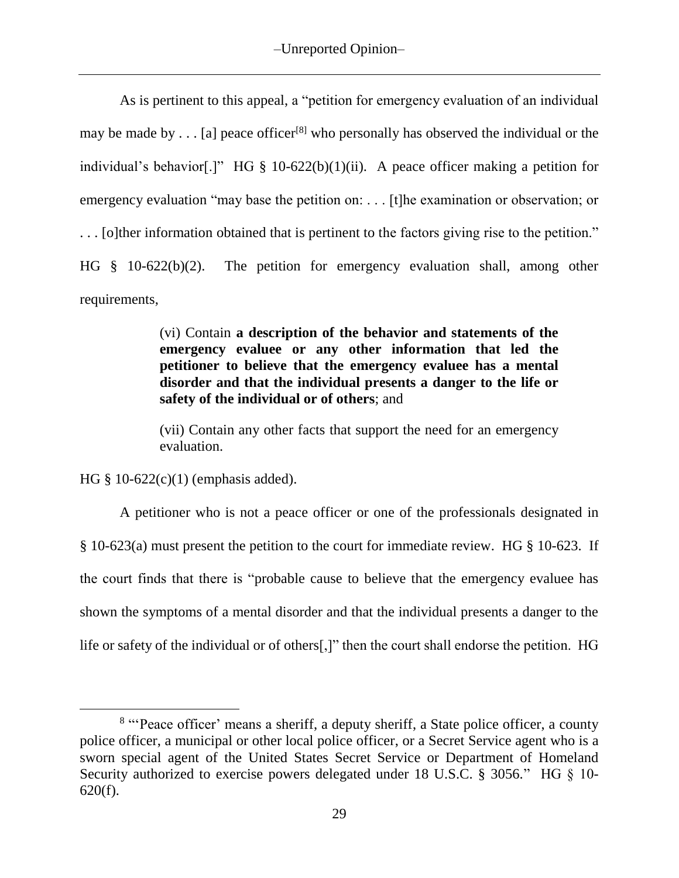As is pertinent to this appeal, a "petition for emergency evaluation of an individual may be made by  $\dots$  [a] peace officer<sup>[8]</sup> who personally has observed the individual or the individual's behavior[.]" HG  $\S$  10-622(b)(1)(ii). A peace officer making a petition for emergency evaluation "may base the petition on: . . . [t]he examination or observation; or . . . [o]ther information obtained that is pertinent to the factors giving rise to the petition." HG § 10-622(b)(2). The petition for emergency evaluation shall, among other requirements,

> (vi) Contain **a description of the behavior and statements of the emergency evaluee or any other information that led the petitioner to believe that the emergency evaluee has a mental disorder and that the individual presents a danger to the life or safety of the individual or of others**; and

> (vii) Contain any other facts that support the need for an emergency evaluation.

HG § 10-622(c)(1) (emphasis added).

A petitioner who is not a peace officer or one of the professionals designated in § 10-623(a) must present the petition to the court for immediate review. HG § 10-623. If the court finds that there is "probable cause to believe that the emergency evaluee has shown the symptoms of a mental disorder and that the individual presents a danger to the life or safety of the individual or of others[,]" then the court shall endorse the petition. HG

<sup>&</sup>lt;sup>8</sup> "Peace officer' means a sheriff, a deputy sheriff, a State police officer, a county police officer, a municipal or other local police officer, or a Secret Service agent who is a sworn special agent of the United States Secret Service or Department of Homeland Security authorized to exercise powers delegated under 18 U.S.C. § 3056." HG § 10-620(f).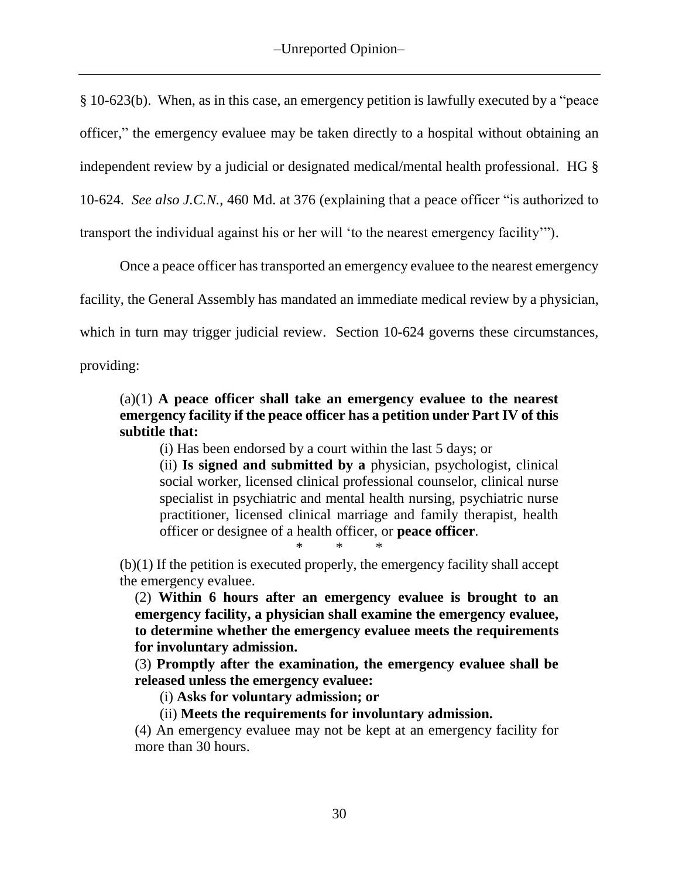§ 10-623(b). When, as in this case, an emergency petition is lawfully executed by a "peace officer," the emergency evaluee may be taken directly to a hospital without obtaining an independent review by a judicial or designated medical/mental health professional. HG § 10-624. *See also J.C.N.*, 460 Md. at 376 (explaining that a peace officer "is authorized to transport the individual against his or her will 'to the nearest emergency facility'").

Once a peace officer has transported an emergency evaluee to the nearest emergency facility, the General Assembly has mandated an immediate medical review by a physician, which in turn may trigger judicial review. Section 10-624 governs these circumstances,

providing:

## (a)(1) **A peace officer shall take an emergency evaluee to the nearest emergency facility if the peace officer has a petition under Part IV of this subtitle that:**

(i) Has been endorsed by a court within the last 5 days; or

(ii) **Is signed and submitted by a** physician, psychologist, clinical social worker, licensed clinical professional counselor, clinical nurse specialist in psychiatric and mental health nursing, psychiatric nurse practitioner, licensed clinical marriage and family therapist, health officer or designee of a health officer, or **peace officer**.

\* \* \*

(b)(1) If the petition is executed properly, the emergency facility shall accept the emergency evaluee.

(2) **Within 6 hours after an emergency evaluee is brought to an emergency facility, a physician shall examine the emergency evaluee, to determine whether the emergency evaluee meets the requirements for involuntary admission.**

(3) **Promptly after the examination, the emergency evaluee shall be released unless the emergency evaluee:**

(i) **Asks for voluntary admission; or**

(ii) **Meets the requirements for involuntary admission.**

(4) An emergency evaluee may not be kept at an emergency facility for more than 30 hours.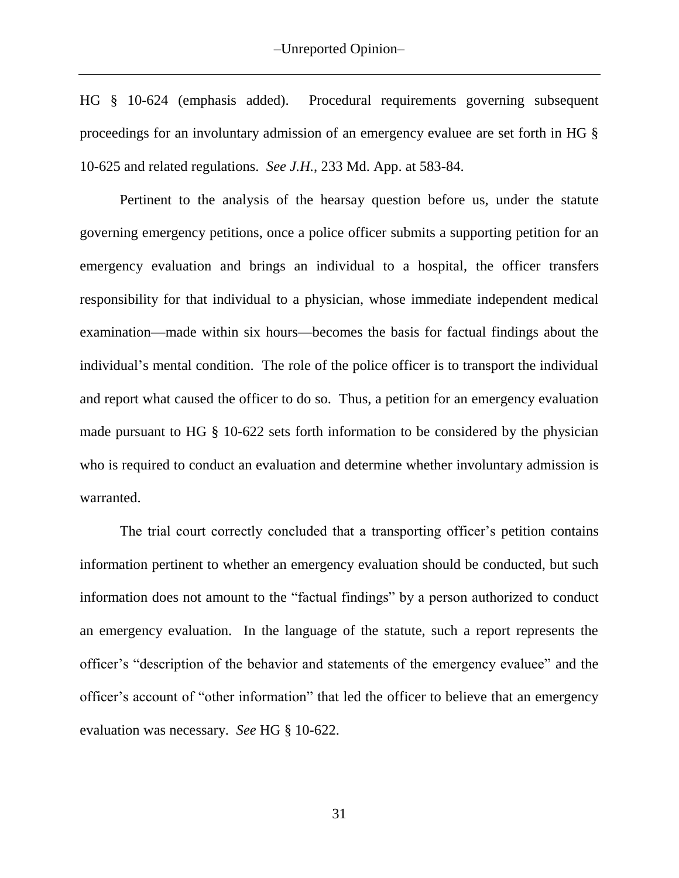HG § 10-624 (emphasis added). Procedural requirements governing subsequent proceedings for an involuntary admission of an emergency evaluee are set forth in HG § 10-625 and related regulations. *See J.H.*, 233 Md. App. at 583-84.

Pertinent to the analysis of the hearsay question before us, under the statute governing emergency petitions, once a police officer submits a supporting petition for an emergency evaluation and brings an individual to a hospital, the officer transfers responsibility for that individual to a physician, whose immediate independent medical examination—made within six hours—becomes the basis for factual findings about the individual's mental condition. The role of the police officer is to transport the individual and report what caused the officer to do so. Thus, a petition for an emergency evaluation made pursuant to HG § 10-622 sets forth information to be considered by the physician who is required to conduct an evaluation and determine whether involuntary admission is warranted.

The trial court correctly concluded that a transporting officer's petition contains information pertinent to whether an emergency evaluation should be conducted, but such information does not amount to the "factual findings" by a person authorized to conduct an emergency evaluation. In the language of the statute, such a report represents the officer's "description of the behavior and statements of the emergency evaluee" and the officer's account of "other information" that led the officer to believe that an emergency evaluation was necessary. *See* HG § 10-622.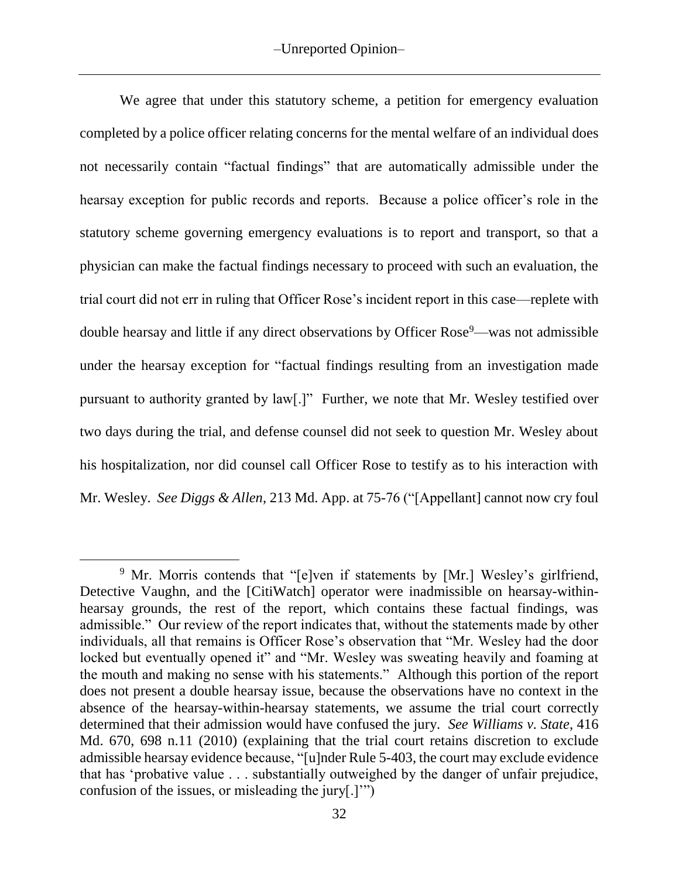We agree that under this statutory scheme, a petition for emergency evaluation completed by a police officer relating concerns for the mental welfare of an individual does not necessarily contain "factual findings" that are automatically admissible under the hearsay exception for public records and reports. Because a police officer's role in the statutory scheme governing emergency evaluations is to report and transport, so that a physician can make the factual findings necessary to proceed with such an evaluation, the trial court did not err in ruling that Officer Rose's incident report in this case—replete with double hearsay and little if any direct observations by Officer Rose<sup>9</sup>—was not admissible under the hearsay exception for "factual findings resulting from an investigation made pursuant to authority granted by law[.]" Further, we note that Mr. Wesley testified over two days during the trial, and defense counsel did not seek to question Mr. Wesley about his hospitalization, nor did counsel call Officer Rose to testify as to his interaction with Mr. Wesley. *See Diggs & Allen*, 213 Md. App. at 75-76 ("[Appellant] cannot now cry foul

 $\overline{a}$ 

<sup>9</sup> Mr. Morris contends that "[e]ven if statements by [Mr.] Wesley's girlfriend, Detective Vaughn, and the [CitiWatch] operator were inadmissible on hearsay-withinhearsay grounds, the rest of the report, which contains these factual findings, was admissible." Our review of the report indicates that, without the statements made by other individuals, all that remains is Officer Rose's observation that "Mr. Wesley had the door locked but eventually opened it" and "Mr. Wesley was sweating heavily and foaming at the mouth and making no sense with his statements." Although this portion of the report does not present a double hearsay issue, because the observations have no context in the absence of the hearsay-within-hearsay statements, we assume the trial court correctly determined that their admission would have confused the jury. *See Williams v. State*, 416 Md. 670, 698 n.11 (2010) (explaining that the trial court retains discretion to exclude admissible hearsay evidence because, "[u]nder Rule 5-403, the court may exclude evidence that has 'probative value . . . substantially outweighed by the danger of unfair prejudice, confusion of the issues, or misleading the jury[.]'")